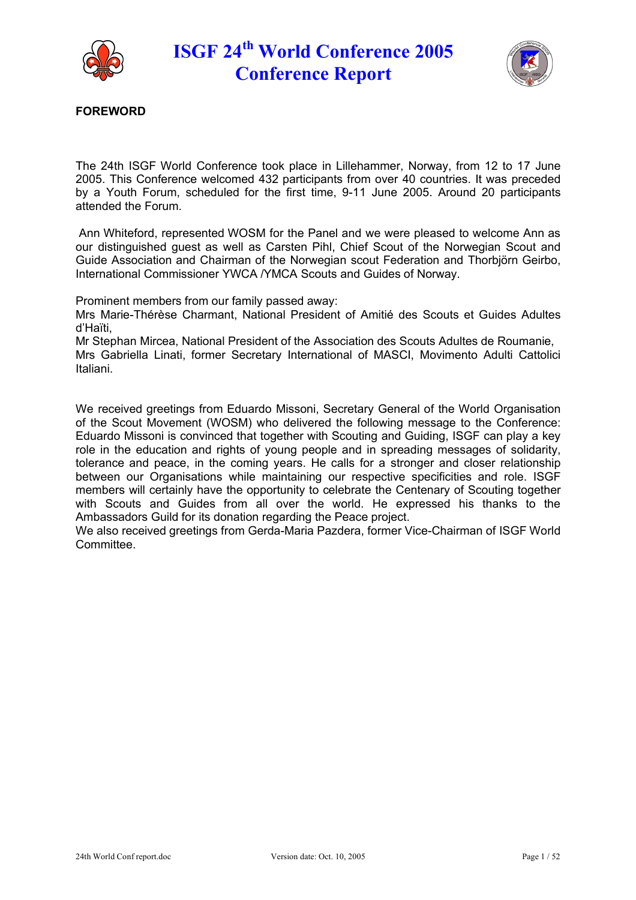



**FOREWORD**

The 24th ISGF World Conference took place in Lillehammer, Norway, from 12 to 17 June 2005. This Conference welcomed 432 participants from over 40 countries. It was preceded by a Youth Forum, scheduled for the first time, 9-11 June 2005. Around 20 participants attended the Forum.

Ann Whiteford, represented WOSM for the Panel and we were pleased to welcome Ann as our distinguished guest as well as Carsten Pihl, Chief Scout of the Norwegian Scout and Guide Association and Chairman of the Norwegian scout Federation and Thorbiörn Geirbo, International Commissioner YWCA /YMCA Scouts and Guides of Norway.

Prominent members from our family passed away:

Mrs Marie-Thérèse Charmant, National President of Amitié des Scouts et Guides Adultes d'Haïti,

Mr Stephan Mircea, National President of the Association des Scouts Adultes de Roumanie,

Mrs Gabriella Linati, former Secretary International of MASCI, Movimento Adulti Cattolici Italiani.

We received greetings from Eduardo Missoni, Secretary General of the World Organisation of the Scout Movement (WOSM) who delivered the following message to the Conference: Eduardo Missoni is convinced that together with Scouting and Guiding, ISGF can play a key role in the education and rights of young people and in spreading messages of solidarity, tolerance and peace, in the coming years. He calls for a stronger and closer relationship between our Organisations while maintaining our respective specificities and role. ISGF members will certainly have the opportunity to celebrate the Centenary of Scouting together with Scouts and Guides from all over the world. He expressed his thanks to the Ambassadors Guild for its donation regarding the Peace project.

We also received greetings from Gerda-Maria Pazdera, former Vice-Chairman of ISGF World **Committee.**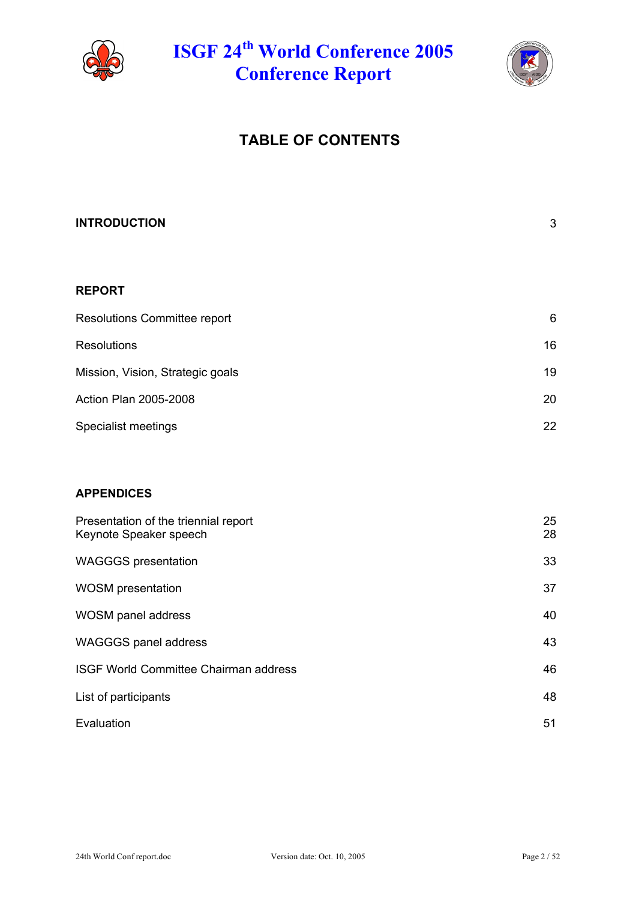



# **TABLE OF CONTENTS**

| <b>INTRODUCTION</b>              | $\mathfrak{B}$ |
|----------------------------------|----------------|
|                                  |                |
| <b>REPORT</b>                    |                |
| Resolutions Committee report     | $6\phantom{1}$ |
| <b>Resolutions</b>               | 16             |
| Mission, Vision, Strategic goals | 19             |
| Action Plan 2005-2008            | 20             |
| Specialist meetings              | 22             |
|                                  |                |
| <b>ADDEMBICES</b>                |                |

### **APPENDICES**

| Presentation of the triennial report<br>Keynote Speaker speech | 25<br>28 |
|----------------------------------------------------------------|----------|
| <b>WAGGGS</b> presentation                                     | 33       |
| <b>WOSM</b> presentation                                       | 37       |
| WOSM panel address                                             | 40       |
| <b>WAGGGS panel address</b>                                    | 43       |
| <b>ISGF World Committee Chairman address</b>                   | 46       |
| List of participants                                           | 48       |
| Evaluation                                                     | 51       |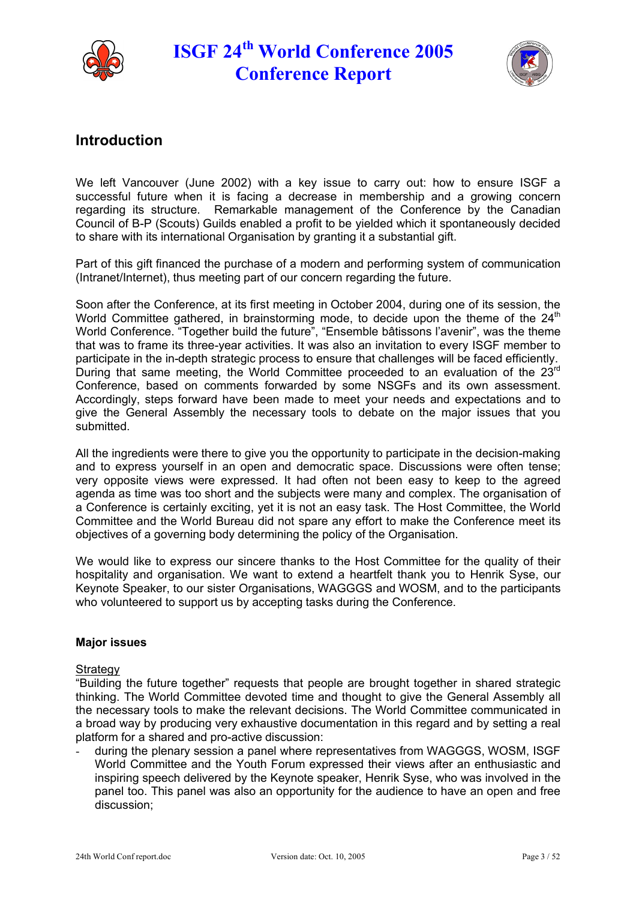



## **Introduction**

We left Vancouver (June 2002) with a key issue to carry out: how to ensure ISGF a successful future when it is facing a decrease in membership and a growing concern regarding its structure. Remarkable management of the Conference by the Canadian Council of B-P (Scouts) Guilds enabled a profit to be yielded which it spontaneously decided to share with its international Organisation by granting it a substantial gift.

Part of this gift financed the purchase of a modern and performing system of communication (Intranet/Internet), thus meeting part of our concern regarding the future.

Soon after the Conference, at its first meeting in October 2004, during one of its session, the World Committee gathered, in brainstorming mode, to decide upon the theme of the 24<sup>th</sup> World Conference. "Together build the future", "Ensemble bâtissons l'avenir", was the theme that was to frame its three-year activities. It was also an invitation to every ISGF member to participate in the in-depth strategic process to ensure that challenges will be faced efficiently. During that same meeting, the World Committee proceeded to an evaluation of the 23rd Conference, based on comments forwarded by some NSGFs and its own assessment. Accordingly, steps forward have been made to meet your needs and expectations and to give the General Assembly the necessary tools to debate on the major issues that you submitted.

All the ingredients were there to give you the opportunity to participate in the decision-making and to express yourself in an open and democratic space. Discussions were often tense; very opposite views were expressed. It had often not been easy to keep to the agreed agenda as time was too short and the subjects were many and complex. The organisation of a Conference is certainly exciting, yet it is not an easy task. The Host Committee, the World Committee and the World Bureau did not spare any effort to make the Conference meet its objectives of a governing body determining the policy of the Organisation.

We would like to express our sincere thanks to the Host Committee for the quality of their hospitality and organisation. We want to extend a heartfelt thank you to Henrik Syse, our Keynote Speaker, to our sister Organisations, WAGGGS and WOSM, and to the participants who volunteered to support us by accepting tasks during the Conference.

### **Major issues**

#### Strategy

"Building the future together" requests that people are brought together in shared strategic thinking. The World Committee devoted time and thought to give the General Assembly all the necessary tools to make the relevant decisions. The World Committee communicated in a broad way by producing very exhaustive documentation in this regard and by setting a real platform for a shared and pro-active discussion:

during the plenary session a panel where representatives from WAGGGS, WOSM, ISGF World Committee and the Youth Forum expressed their views after an enthusiastic and inspiring speech delivered by the Keynote speaker, Henrik Syse, who was involved in the panel too. This panel was also an opportunity for the audience to have an open and free discussion;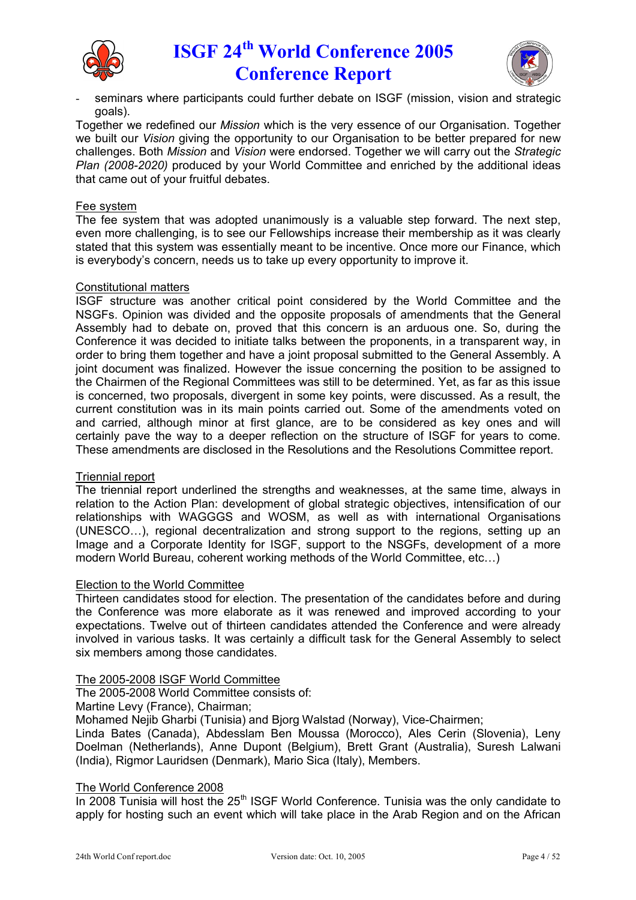



seminars where participants could further debate on ISGF (mission, vision and strategic goals).

Together we redefined our *Mission* which is the very essence of our Organisation. Together we built our *Vision* giving the opportunity to our Organisation to be better prepared for new challenges. Both *Mission* and *Vision* were endorsed. Together we will carry out the *Strategic Plan (2008-2020)* produced by your World Committee and enriched by the additional ideas that came out of your fruitful debates.

#### Fee system

The fee system that was adopted unanimously is a valuable step forward. The next step, even more challenging, is to see our Fellowships increase their membership as it was clearly stated that this system was essentially meant to be incentive. Once more our Finance, which is everybody's concern, needs us to take up every opportunity to improve it.

#### Constitutional matters

ISGF structure was another critical point considered by the World Committee and the NSGFs. Opinion was divided and the opposite proposals of amendments that the General Assembly had to debate on, proved that this concern is an arduous one. So, during the Conference it was decided to initiate talks between the proponents, in a transparent way, in order to bring them together and have a joint proposal submitted to the General Assembly. A joint document was finalized. However the issue concerning the position to be assigned to the Chairmen of the Regional Committees was still to be determined. Yet, as far as this issue is concerned, two proposals, divergent in some key points, were discussed. As a result, the current constitution was in its main points carried out. Some of the amendments voted on and carried, although minor at first glance, are to be considered as key ones and will certainly pave the way to a deeper reflection on the structure of ISGF for years to come. These amendments are disclosed in the Resolutions and the Resolutions Committee report.

#### Triennial report

The triennial report underlined the strengths and weaknesses, at the same time, always in relation to the Action Plan: development of global strategic objectives, intensification of our relationships with WAGGGS and WOSM, as well as with international Organisations (UNESCO…), regional decentralization and strong support to the regions, setting up an Image and a Corporate Identity for ISGF, support to the NSGFs, development of a more modern World Bureau, coherent working methods of the World Committee, etc…)

#### Election to the World Committee

Thirteen candidates stood for election. The presentation of the candidates before and during the Conference was more elaborate as it was renewed and improved according to your expectations. Twelve out of thirteen candidates attended the Conference and were already involved in various tasks. It was certainly a difficult task for the General Assembly to select six members among those candidates.

The 2005-2008 ISGF World Committee

The 2005-2008 World Committee consists of:

Martine Levy (France), Chairman;

Mohamed Nejib Gharbi (Tunisia) and Bjorg Walstad (Norway), Vice-Chairmen;

Linda Bates (Canada), Abdesslam Ben Moussa (Morocco), Ales Cerin (Slovenia), Leny Doelman (Netherlands), Anne Dupont (Belgium), Brett Grant (Australia), Suresh Lalwani (India), Rigmor Lauridsen (Denmark), Mario Sica (Italy), Members.

#### The World Conference 2008

In 2008 Tunisia will host the  $25<sup>th</sup>$  ISGF World Conference. Tunisia was the only candidate to apply for hosting such an event which will take place in the Arab Region and on the African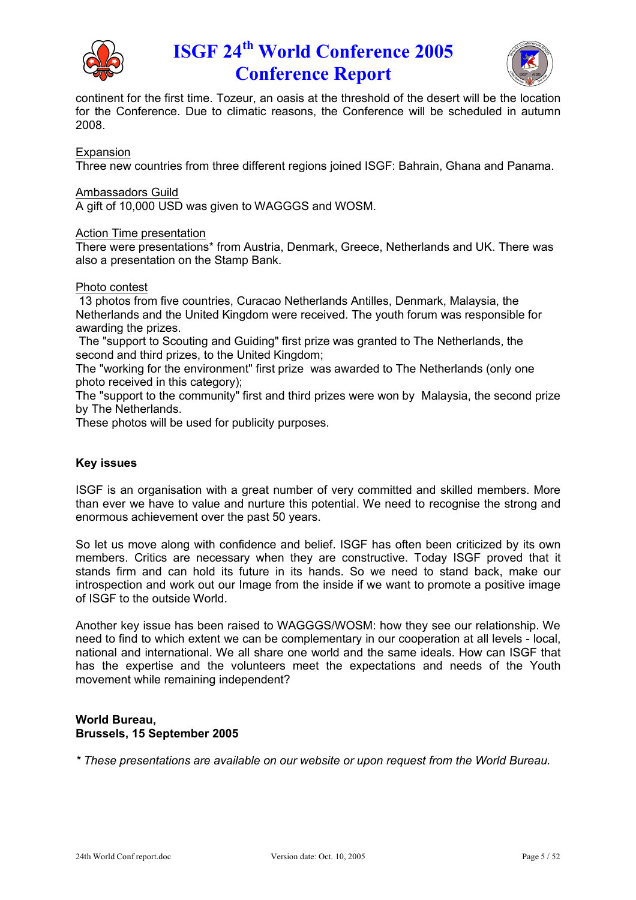



continent for the first time. Tozeur, an oasis at the threshold of the desert will be the location for the Conference. Due to climatic reasons, the Conference will be scheduled in autumn 2008.

Expansion

Three new countries from three different regions joined ISGF: Bahrain, Ghana and Panama.

Ambassadors Guild

A gift of 10,000 USD was given to WAGGGS and WOSM.

#### Action Time presentation

There were presentations\* from Austria, Denmark, Greece, Netherlands and UK. There was also a presentation on the Stamp Bank.

#### Photo contest

13 photos from five countries, Curacao Netherlands Antilles, Denmark, Malaysia, the Netherlands and the United Kingdom were received. The youth forum was responsible for awarding the prizes.

The "support to Scouting and Guiding" first prize was granted to The Netherlands, the second and third prizes, to the United Kingdom;

The "working for the environment" first prize was awarded to The Netherlands (only one photo received in this category);

The "support to the community" first and third prizes were won by Malaysia, the second prize by The Netherlands.

These photos will be used for publicity purposes.

### **Key issues**

ISGF is an organisation with a great number of very committed and skilled members. More than ever we have to value and nurture this potential. We need to recognise the strong and enormous achievement over the past 50 years.

So let us move along with confidence and belief. ISGF has often been criticized by its own members. Critics are necessary when they are constructive. Today ISGF proved that it stands firm and can hold its future in its hands. So we need to stand back, make our introspection and work out our Image from the inside if we want to promote a positive image of ISGF to the outside World.

Another key issue has been raised to WAGGGS/WOSM: how they see our relationship. We need to find to which extent we can be complementary in our cooperation at all levels - local, national and international. We all share one world and the same ideals. How can ISGF that has the expertise and the volunteers meet the expectations and needs of the Youth movement while remaining independent?

#### **World Bureau, Brussels, 15 September 2005**

*\* These presentations are available on our website or upon request from the World Bureau.*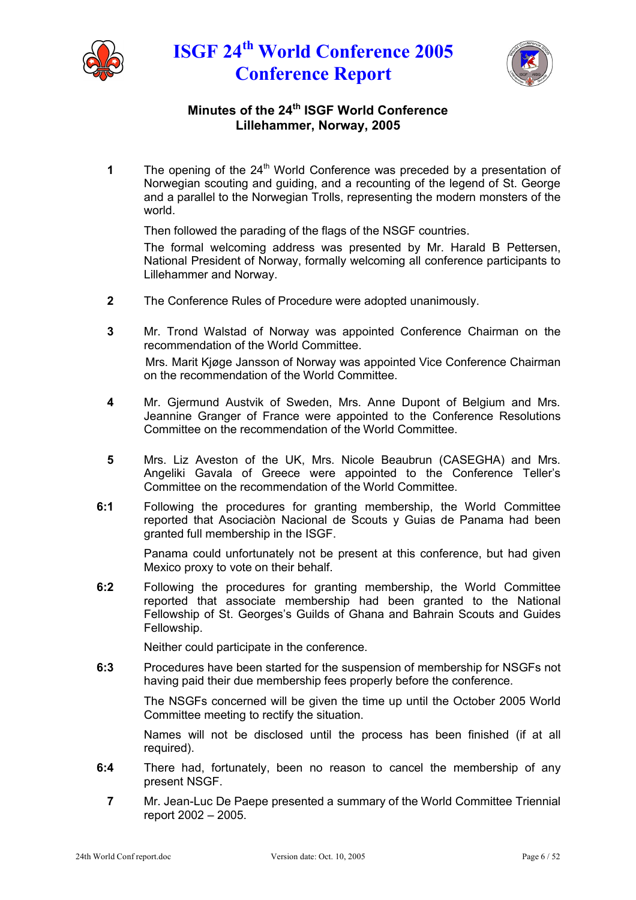



## **Minutes of the 24th ISGF World Conference Lillehammer, Norway, 2005**

**1** The opening of the 24<sup>th</sup> World Conference was preceded by a presentation of Norwegian scouting and guiding, and a recounting of the legend of St. George and a parallel to the Norwegian Trolls, representing the modern monsters of the world.

Then followed the parading of the flags of the NSGF countries.

The formal welcoming address was presented by Mr. Harald B Pettersen, National President of Norway, formally welcoming all conference participants to Lillehammer and Norway.

- **2** The Conference Rules of Procedure were adopted unanimously.
- **3** Mr. Trond Walstad of Norway was appointed Conference Chairman on the recommendation of the World Committee. Mrs. Marit Kjøge Jansson of Norway was appointed Vice Conference Chairman on the recommendation of the World Committee.
- **4** Mr. Gjermund Austvik of Sweden, Mrs. Anne Dupont of Belgium and Mrs. Jeannine Granger of France were appointed to the Conference Resolutions Committee on the recommendation of the World Committee.
- **5** Mrs. Liz Aveston of the UK, Mrs. Nicole Beaubrun (CASEGHA) and Mrs. Angeliki Gavala of Greece were appointed to the Conference Teller's Committee on the recommendation of the World Committee.
- **6:1** Following the procedures for granting membership, the World Committee reported that Asociaciòn Nacional de Scouts y Guias de Panama had been granted full membership in the ISGF.

Panama could unfortunately not be present at this conference, but had given Mexico proxy to vote on their behalf.

**6:2** Following the procedures for granting membership, the World Committee reported that associate membership had been granted to the National Fellowship of St. Georges's Guilds of Ghana and Bahrain Scouts and Guides Fellowship.

Neither could participate in the conference.

**6:3** Procedures have been started for the suspension of membership for NSGFs not having paid their due membership fees properly before the conference.

The NSGFs concerned will be given the time up until the October 2005 World Committee meeting to rectify the situation.

Names will not be disclosed until the process has been finished (if at all required).

- **6:4** There had, fortunately, been no reason to cancel the membership of any present NSGF.
	- **7** Mr. Jean-Luc De Paepe presented a summary of the World Committee Triennial report 2002 – 2005.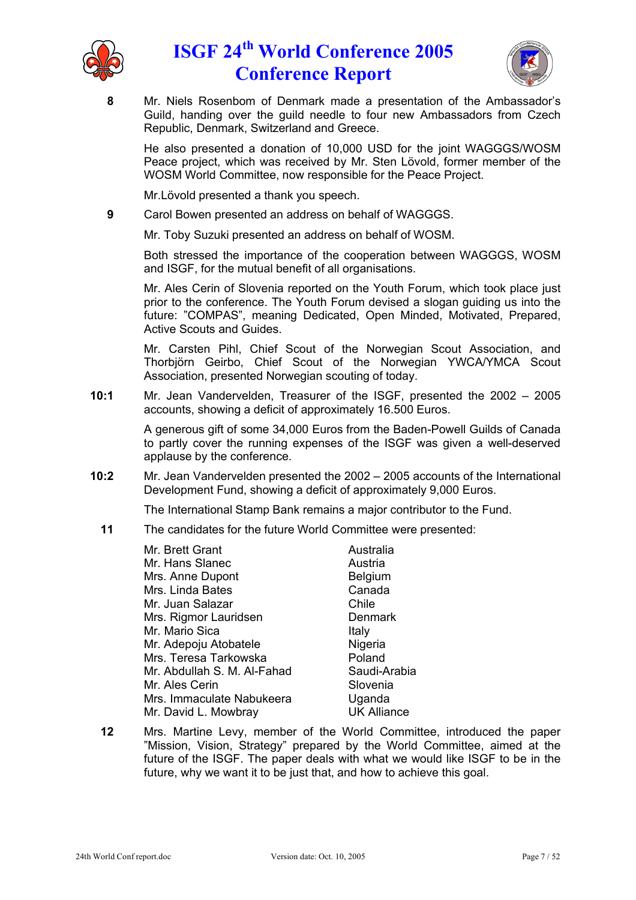



**8** Mr. Niels Rosenbom of Denmark made a presentation of the Ambassador's Guild, handing over the guild needle to four new Ambassadors from Czech Republic, Denmark, Switzerland and Greece.

He also presented a donation of 10,000 USD for the joint WAGGGS/WOSM Peace project, which was received by Mr. Sten Lövold, former member of the WOSM World Committee, now responsible for the Peace Project.

Mr. Lövold presented a thank you speech.

**9** Carol Bowen presented an address on behalf of WAGGGS.

Mr. Toby Suzuki presented an address on behalf of WOSM.

Both stressed the importance of the cooperation between WAGGGS, WOSM and ISGF, for the mutual benefit of all organisations.

Mr. Ales Cerin of Slovenia reported on the Youth Forum, which took place just prior to the conference. The Youth Forum devised a slogan guiding us into the future: "COMPAS", meaning Dedicated, Open Minded, Motivated, Prepared, Active Scouts and Guides.

Mr. Carsten Pihl, Chief Scout of the Norwegian Scout Association, and Thorbiörn Geirbo, Chief Scout of the Norwegian YWCA/YMCA Scout Association, presented Norwegian scouting of today.

**10:1** Mr. Jean Vandervelden, Treasurer of the ISGF, presented the 2002 – 2005 accounts, showing a deficit of approximately 16.500 Euros.

> A generous gift of some 34,000 Euros from the Baden-Powell Guilds of Canada to partly cover the running expenses of the ISGF was given a well-deserved applause by the conference.

**10:2** Mr. Jean Vandervelden presented the 2002 – 2005 accounts of the International Development Fund, showing a deficit of approximately 9,000 Euros.

The International Stamp Bank remains a major contributor to the Fund.

**11** The candidates for the future World Committee were presented:

| Australia          |
|--------------------|
| Austria            |
| <b>Belgium</b>     |
| Canada             |
| Chile              |
| Denmark            |
| Italy              |
| Nigeria            |
| Poland             |
| Saudi-Arabia       |
| Slovenia           |
| Uganda             |
| <b>UK Alliance</b> |
|                    |

**12** Mrs. Martine Levy, member of the World Committee, introduced the paper "Mission, Vision, Strategy" prepared by the World Committee, aimed at the future of the ISGF. The paper deals with what we would like ISGF to be in the future, why we want it to be just that, and how to achieve this goal.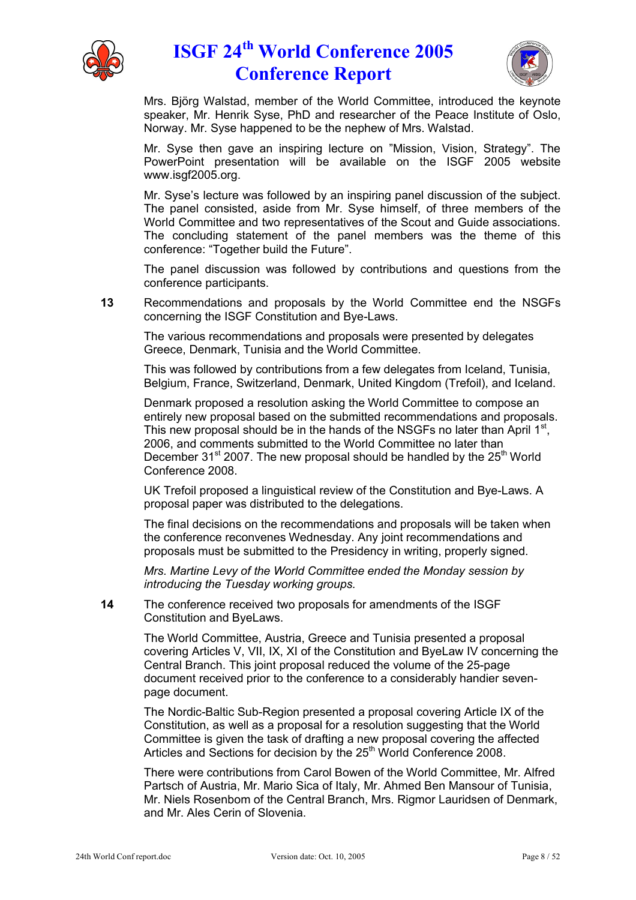



Mrs. Björg Walstad, member of the World Committee, introduced the keynote speaker, Mr. Henrik Syse, PhD and researcher of the Peace Institute of Oslo, Norway. Mr. Syse happened to be the nephew of Mrs. Walstad.

Mr. Syse then gave an inspiring lecture on "Mission, Vision, Strategy". The PowerPoint presentation will be available on the ISGF 2005 website www.isgf2005.org.

Mr. Syse's lecture was followed by an inspiring panel discussion of the subject. The panel consisted, aside from Mr. Syse himself, of three members of the World Committee and two representatives of the Scout and Guide associations. The concluding statement of the panel members was the theme of this conference: "Together build the Future".

The panel discussion was followed by contributions and questions from the conference participants.

**13** Recommendations and proposals by the World Committee end the NSGFs concerning the ISGF Constitution and Bye-Laws.

The various recommendations and proposals were presented by delegates Greece, Denmark, Tunisia and the World Committee.

This was followed by contributions from a few delegates from Iceland, Tunisia, Belgium, France, Switzerland, Denmark, United Kingdom (Trefoil), and Iceland.

Denmark proposed a resolution asking the World Committee to compose an entirely new proposal based on the submitted recommendations and proposals. This new proposal should be in the hands of the NSGFs no later than April  $1<sup>st</sup>$ , 2006, and comments submitted to the World Committee no later than December  $31<sup>st</sup>$  2007. The new proposal should be handled by the  $25<sup>th</sup>$  World Conference 2008.

UK Trefoil proposed a linguistical review of the Constitution and Bye-Laws. A proposal paper was distributed to the delegations.

The final decisions on the recommendations and proposals will be taken when the conference reconvenes Wednesday. Any joint recommendations and proposals must be submitted to the Presidency in writing, properly signed.

*Mrs. Martine Levy of the World Committee ended the Monday session by introducing the Tuesday working groups.*

**14** The conference received two proposals for amendments of the ISGF Constitution and ByeLaws.

> The World Committee, Austria, Greece and Tunisia presented a proposal covering Articles V, VII, IX, XI of the Constitution and ByeLaw IV concerning the Central Branch. This joint proposal reduced the volume of the 25-page document received prior to the conference to a considerably handier sevenpage document.

The Nordic-Baltic Sub-Region presented a proposal covering Article IX of the Constitution, as well as a proposal for a resolution suggesting that the World Committee is given the task of drafting a new proposal covering the affected Articles and Sections for decision by the 25<sup>th</sup> World Conference 2008.

There were contributions from Carol Bowen of the World Committee, Mr. Alfred Partsch of Austria, Mr. Mario Sica of Italy, Mr. Ahmed Ben Mansour of Tunisia, Mr. Niels Rosenbom of the Central Branch, Mrs. Rigmor Lauridsen of Denmark, and Mr. Ales Cerin of Slovenia.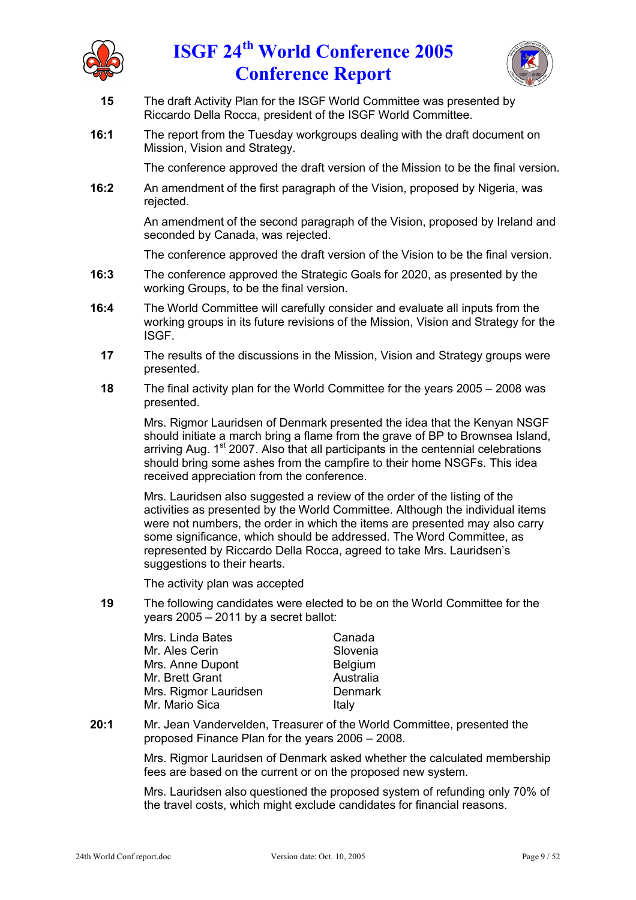



- **15** The draft Activity Plan for the ISGF World Committee was presented by Riccardo Della Rocca, president of the ISGF World Committee.
- **16:1** The report from the Tuesday workgroups dealing with the draft document on Mission, Vision and Strategy.

The conference approved the draft version of the Mission to be the final version.

**16:2** An amendment of the first paragraph of the Vision, proposed by Nigeria, was rejected.

> An amendment of the second paragraph of the Vision, proposed by Ireland and seconded by Canada, was rejected.

> The conference approved the draft version of the Vision to be the final version.

- **16:3** The conference approved the Strategic Goals for 2020, as presented by the working Groups, to be the final version.
- **16:4** The World Committee will carefully consider and evaluate all inputs from the working groups in its future revisions of the Mission, Vision and Strategy for the ISGF.
	- **17** The results of the discussions in the Mission, Vision and Strategy groups were presented.
	- **18** The final activity plan for the World Committee for the years 2005 2008 was presented.

Mrs. Rigmor Lauridsen of Denmark presented the idea that the Kenyan NSGF should initiate a march bring a flame from the grave of BP to Brownsea Island, arriving Aug. 1<sup>st</sup> 2007. Also that all participants in the centennial celebrations should bring some ashes from the campfire to their home NSGFs. This idea received appreciation from the conference.

Mrs. Lauridsen also suggested a review of the order of the listing of the activities as presented by the World Committee. Although the individual items were not numbers, the order in which the items are presented may also carry some significance, which should be addressed. The Word Committee, as represented by Riccardo Della Rocca, agreed to take Mrs. Lauridsen's suggestions to their hearts.

The activity plan was accepted

**19** The following candidates were elected to be on the World Committee for the years 2005 – 2011 by a secret ballot:

| Mrs. Linda Bates      | Canada         |
|-----------------------|----------------|
| Mr. Ales Cerin        | Slovenia       |
| Mrs. Anne Dupont      | <b>Belgium</b> |
| Mr. Brett Grant       | Australia      |
| Mrs. Rigmor Lauridsen | Denmark        |
| Mr. Mario Sica        | Italy          |

**20:1** Mr. Jean Vandervelden, Treasurer of the World Committee, presented the proposed Finance Plan for the years 2006 – 2008.

> Mrs. Rigmor Lauridsen of Denmark asked whether the calculated membership fees are based on the current or on the proposed new system.

> Mrs. Lauridsen also questioned the proposed system of refunding only 70% of the travel costs, which might exclude candidates for financial reasons.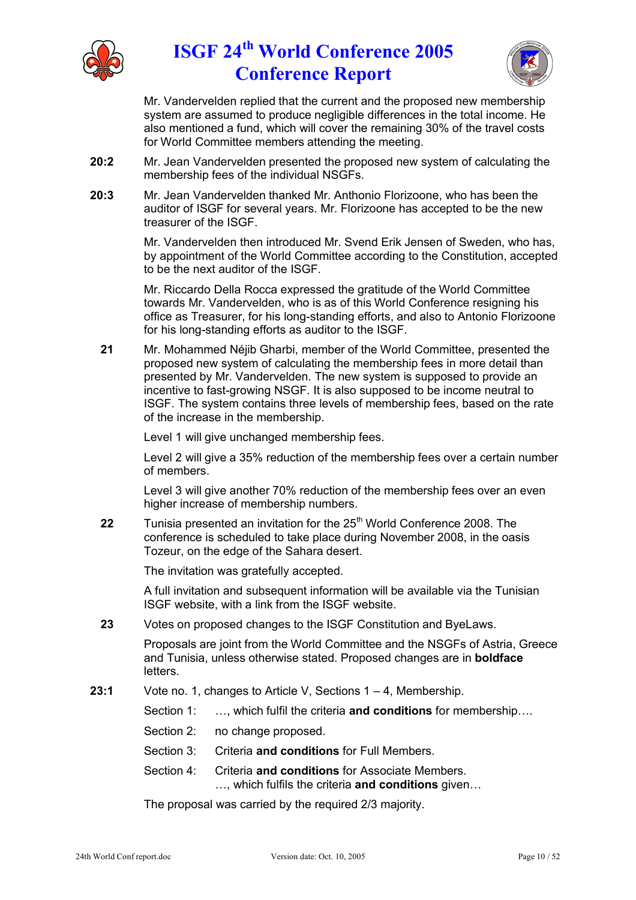



Mr. Vandervelden replied that the current and the proposed new membership system are assumed to produce negligible differences in the total income. He also mentioned a fund, which will cover the remaining 30% of the travel costs for World Committee members attending the meeting.

- **20:2** Mr. Jean Vandervelden presented the proposed new system of calculating the membership fees of the individual NSGFs.
- **20:3** Mr. Jean Vandervelden thanked Mr. Anthonio Florizoone, who has been the auditor of ISGF for several years. Mr. Florizoone has accepted to be the new treasurer of the ISGF.

Mr. Vandervelden then introduced Mr. Svend Erik Jensen of Sweden, who has, by appointment of the World Committee according to the Constitution, accepted to be the next auditor of the ISGF.

Mr. Riccardo Della Rocca expressed the gratitude of the World Committee towards Mr. Vandervelden, who is as of this World Conference resigning his office as Treasurer, for his long-standing efforts, and also to Antonio Florizoone for his long-standing efforts as auditor to the ISGF.

**21** Mr. Mohammed Néjib Gharbi, member of the World Committee, presented the proposed new system of calculating the membership fees in more detail than presented by Mr. Vandervelden. The new system is supposed to provide an incentive to fast-growing NSGF. It is also supposed to be income neutral to ISGF. The system contains three levels of membership fees, based on the rate of the increase in the membership.

Level 1 will give unchanged membership fees.

Level 2 will give a 35% reduction of the membership fees over a certain number of members.

Level 3 will give another 70% reduction of the membership fees over an even higher increase of membership numbers.

**22** Tunisia presented an invitation for the 25<sup>th</sup> World Conference 2008. The conference is scheduled to take place during November 2008, in the oasis Tozeur, on the edge of the Sahara desert.

The invitation was gratefully accepted.

A full invitation and subsequent information will be available via the Tunisian ISGF website, with a link from the ISGF website.

**23** Votes on proposed changes to the ISGF Constitution and ByeLaws.

Proposals are joint from the World Committee and the NSGFs of Astria, Greece and Tunisia, unless otherwise stated. Proposed changes are in **boldface** letters.

- **23:1** Vote no. 1, changes to Article V, Sections 1 4, Membership.
	- Section 1: …, which fulfil the criteria **and conditions** for membership….
	- Section 2: no change proposed.
	- Section 3: Criteria **and conditions** for Full Members.
	- Section 4: Criteria **and conditions** for Associate Members. …, which fulfils the criteria **and conditions** given…

The proposal was carried by the required 2/3 majority.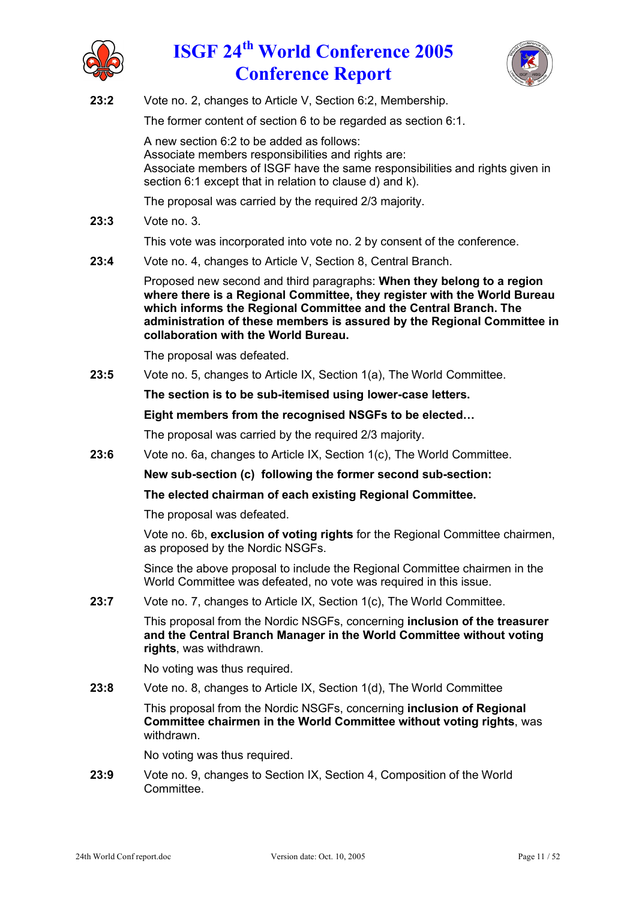



**23:2** Vote no. 2, changes to Article V, Section 6:2, Membership.

The former content of section 6 to be regarded as section 6:1.

A new section 6:2 to be added as follows: Associate members responsibilities and rights are: Associate members of ISGF have the same responsibilities and rights given in section 6:1 except that in relation to clause d) and k).

The proposal was carried by the required 2/3 majority.

**23:3** Vote no. 3.

This vote was incorporated into vote no. 2 by consent of the conference.

**23:4** Vote no. 4, changes to Article V, Section 8, Central Branch.

Proposed new second and third paragraphs: **When they belong to a region where there is a Regional Committee, they register with the World Bureau which informs the Regional Committee and the Central Branch. The administration of these members is assured by the Regional Committee in collaboration with the World Bureau.**

The proposal was defeated.

**23:5** Vote no. 5, changes to Article IX, Section 1(a), The World Committee.

**The section is to be sub-itemised using lower-case letters.**

**Eight members from the recognised NSGFs to be elected…**

The proposal was carried by the required 2/3 majority.

**23:6** Vote no. 6a, changes to Article IX, Section 1(c), The World Committee.

**New sub-section (c) following the former second sub-section:**

**The elected chairman of each existing Regional Committee.**

The proposal was defeated.

Vote no. 6b, **exclusion of voting rights** for the Regional Committee chairmen, as proposed by the Nordic NSGFs.

Since the above proposal to include the Regional Committee chairmen in the World Committee was defeated, no vote was required in this issue.

**23:7** Vote no. 7, changes to Article IX, Section 1(c), The World Committee.

This proposal from the Nordic NSGFs, concerning **inclusion of the treasurer and the Central Branch Manager in the World Committee without voting rights**, was withdrawn.

No voting was thus required.

**23:8** Vote no. 8, changes to Article IX, Section 1(d), The World Committee

This proposal from the Nordic NSGFs, concerning **inclusion of Regional Committee chairmen in the World Committee without voting rights**, was withdrawn.

No voting was thus required.

**23:9** Vote no. 9, changes to Section IX, Section 4, Composition of the World Committee.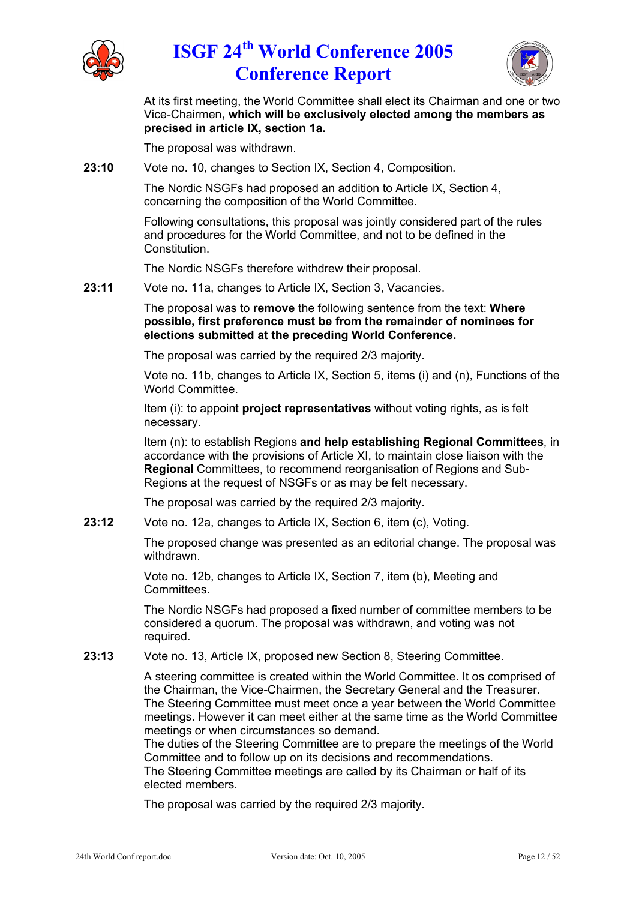



At its first meeting, the World Committee shall elect its Chairman and one or two Vice-Chairmen**, which will be exclusively elected among the members as precised in article IX, section 1a.**

The proposal was withdrawn.

**23:10** Vote no. 10, changes to Section IX, Section 4, Composition.

The Nordic NSGFs had proposed an addition to Article IX, Section 4, concerning the composition of the World Committee.

Following consultations, this proposal was jointly considered part of the rules and procedures for the World Committee, and not to be defined in the Constitution.

The Nordic NSGFs therefore withdrew their proposal.

**23:11** Vote no. 11a, changes to Article IX, Section 3, Vacancies.

The proposal was to **remove** the following sentence from the text: **Where possible, first preference must be from the remainder of nominees for elections submitted at the preceding World Conference.**

The proposal was carried by the required 2/3 majority.

Vote no. 11b, changes to Article IX, Section 5, items (i) and (n), Functions of the World Committee.

Item (i): to appoint **project representatives** without voting rights, as is felt necessary.

Item (n): to establish Regions **and help establishing Regional Committees**, in accordance with the provisions of Article XI, to maintain close liaison with the **Regional** Committees, to recommend reorganisation of Regions and Sub-Regions at the request of NSGFs or as may be felt necessary.

The proposal was carried by the required 2/3 majority.

**23:12** Vote no. 12a, changes to Article IX, Section 6, item (c), Voting.

The proposed change was presented as an editorial change. The proposal was withdrawn.

Vote no. 12b, changes to Article IX, Section 7, item (b), Meeting and Committees.

The Nordic NSGFs had proposed a fixed number of committee members to be considered a quorum. The proposal was withdrawn, and voting was not required.

**23:13** Vote no. 13, Article IX, proposed new Section 8, Steering Committee.

A steering committee is created within the World Committee. It os comprised of the Chairman, the Vice-Chairmen, the Secretary General and the Treasurer. The Steering Committee must meet once a year between the World Committee meetings. However it can meet either at the same time as the World Committee meetings or when circumstances so demand.

The duties of the Steering Committee are to prepare the meetings of the World Committee and to follow up on its decisions and recommendations.

The Steering Committee meetings are called by its Chairman or half of its elected members.

The proposal was carried by the required 2/3 majority.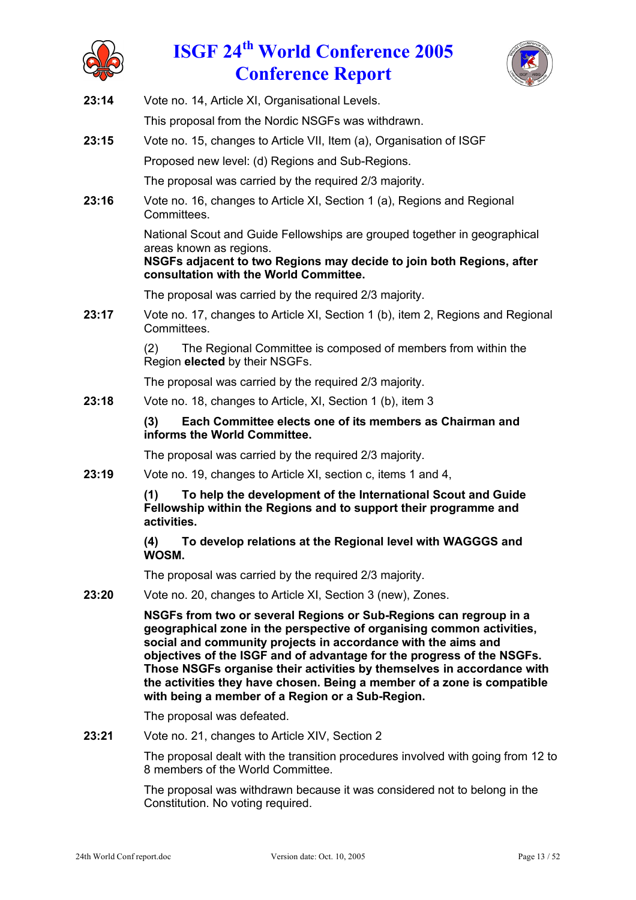



- **23:14** Vote no. 14, Article XI, Organisational Levels. This proposal from the Nordic NSGFs was withdrawn.
- **23:15** Vote no. 15, changes to Article VII, Item (a), Organisation of ISGF Proposed new level: (d) Regions and Sub-Regions.

The proposal was carried by the required 2/3 majority.

**23:16** Vote no. 16, changes to Article XI, Section 1 (a), Regions and Regional Committees.

> National Scout and Guide Fellowships are grouped together in geographical areas known as regions.

> **NSGFs adjacent to two Regions may decide to join both Regions, after consultation with the World Committee.**

The proposal was carried by the required 2/3 majority.

**23:17** Vote no. 17, changes to Article XI, Section 1 (b), item 2, Regions and Regional Committees.

> (2) The Regional Committee is composed of members from within the Region **elected** by their NSGFs.

The proposal was carried by the required 2/3 majority.

**23:18** Vote no. 18, changes to Article, XI, Section 1 (b), item 3

### **(3) Each Committee elects one of its members as Chairman and informs the World Committee.**

The proposal was carried by the required 2/3 majority.

**23:19** Vote no. 19, changes to Article XI, section c, items 1 and 4,

**(1) To help the development of the International Scout and Guide Fellowship within the Regions and to support their programme and activities.**

**(4) To develop relations at the Regional level with WAGGGS and WOSM.**

The proposal was carried by the required 2/3 majority.

**23:20** Vote no. 20, changes to Article XI, Section 3 (new), Zones.

**NSGFs from two or several Regions or Sub-Regions can regroup in a geographical zone in the perspective of organising common activities, social and community projects in accordance with the aims and objectives of the ISGF and of advantage for the progress of the NSGFs. Those NSGFs organise their activities by themselves in accordance with the activities they have chosen. Being a member of a zone is compatible with being a member of a Region or a Sub-Region.**

The proposal was defeated.

**23:21** Vote no. 21, changes to Article XIV, Section 2

The proposal dealt with the transition procedures involved with going from 12 to 8 members of the World Committee.

The proposal was withdrawn because it was considered not to belong in the Constitution. No voting required.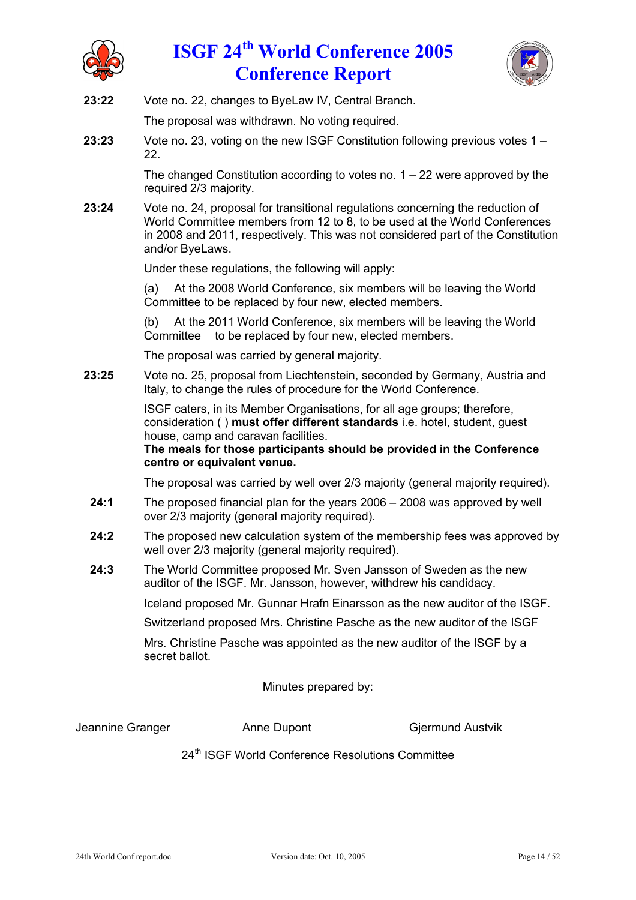



**23:22** Vote no. 22, changes to ByeLaw IV, Central Branch.

The proposal was withdrawn. No voting required.

**23:23** Vote no. 23, voting on the new ISGF Constitution following previous votes 1 – 22.

> The changed Constitution according to votes no.  $1 - 22$  were approved by the required 2/3 majority.

**23:24** Vote no. 24, proposal for transitional regulations concerning the reduction of World Committee members from 12 to 8, to be used at the World Conferences in 2008 and 2011, respectively. This was not considered part of the Constitution and/or ByeLaws.

Under these regulations, the following will apply:

(a) At the 2008 World Conference, six members will be leaving the World Committee to be replaced by four new, elected members.

(b) At the 2011 World Conference, six members will be leaving the World Committee to be replaced by four new, elected members.

The proposal was carried by general majority.

**23:25** Vote no. 25, proposal from Liechtenstein, seconded by Germany, Austria and Italy, to change the rules of procedure for the World Conference.

> ISGF caters, in its Member Organisations, for all age groups; therefore, consideration ( ) **must offer different standards** i.e. hotel, student, guest house, camp and caravan facilities.

**The meals for those participants should be provided in the Conference centre or equivalent venue.**

The proposal was carried by well over 2/3 majority (general majority required).

- **24:1** The proposed financial plan for the years 2006 2008 was approved by well over 2/3 majority (general majority required).
- **24:2** The proposed new calculation system of the membership fees was approved by well over 2/3 majority (general majority required).
- **24:3** The World Committee proposed Mr. Sven Jansson of Sweden as the new auditor of the ISGF. Mr. Jansson, however, withdrew his candidacy.

Iceland proposed Mr. Gunnar Hrafn Einarsson as the new auditor of the ISGF.

Switzerland proposed Mrs. Christine Pasche as the new auditor of the ISGF

Mrs. Christine Pasche was appointed as the new auditor of the ISGF by a secret ballot.

Minutes prepared by:

Jeannine Granger **Anne Dupont** Giermund Austvik

24<sup>th</sup> ISGF World Conference Resolutions Committee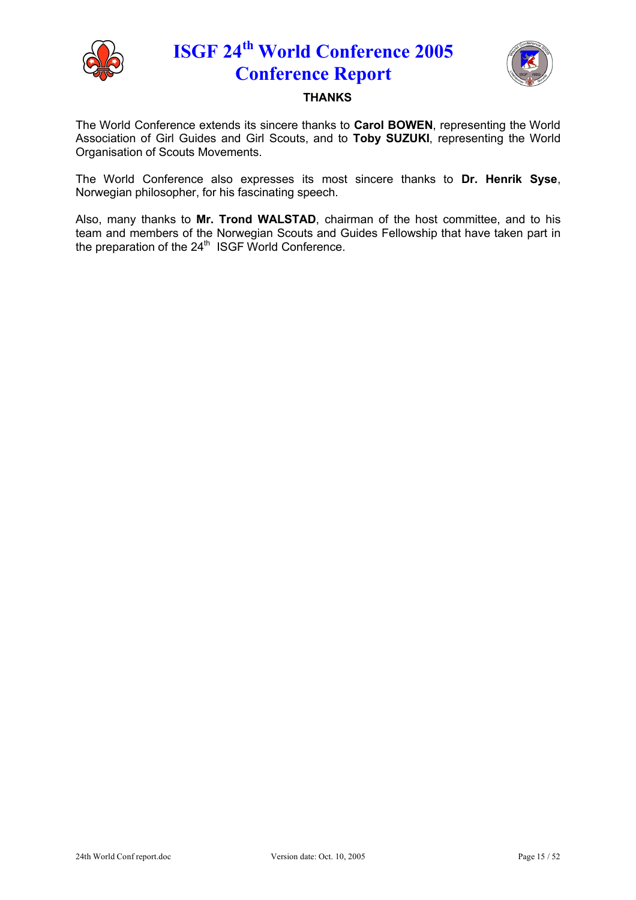



### **THANKS**

The World Conference extends its sincere thanks to **Carol BOWEN**, representing the World Association of Girl Guides and Girl Scouts, and to **Toby SUZUKI**, representing the World Organisation of Scouts Movements.

The World Conference also expresses its most sincere thanks to **Dr. Henrik Syse**, Norwegian philosopher, for his fascinating speech.

Also, many thanks to **Mr. Trond WALSTAD**, chairman of the host committee, and to his team and members of the Norwegian Scouts and Guides Fellowship that have taken part in the preparation of the 24<sup>th</sup> ISGF World Conference.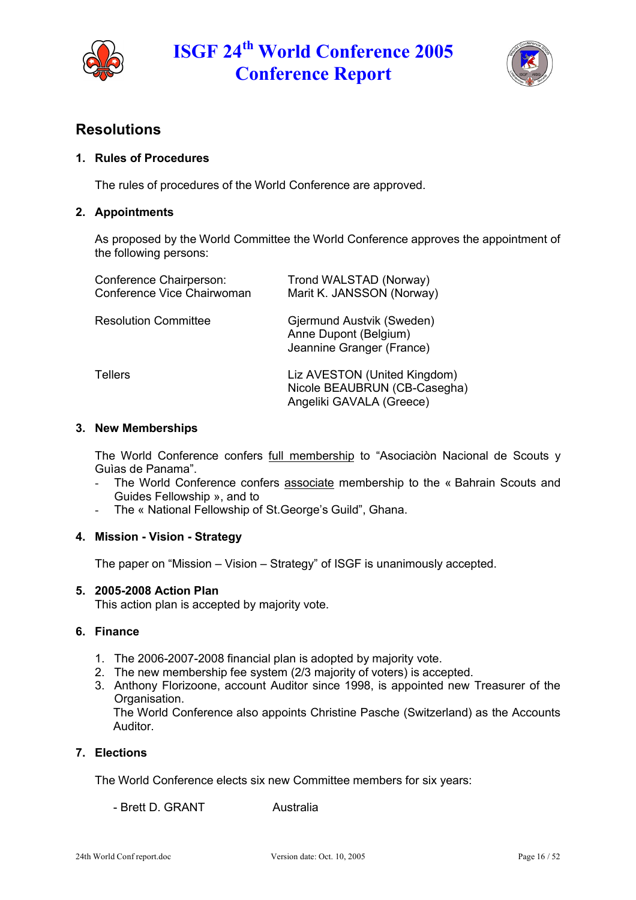



## **Resolutions**

### **1. Rules of Procedures**

The rules of procedures of the World Conference are approved.

### **2. Appointments**

As proposed by the World Committee the World Conference approves the appointment of the following persons:

| Conference Chairperson:<br>Conference Vice Chairwoman | Trond WALSTAD (Norway)<br>Marit K. JANSSON (Norway)                                      |
|-------------------------------------------------------|------------------------------------------------------------------------------------------|
| <b>Resolution Committee</b>                           | Gjermund Austvik (Sweden)<br>Anne Dupont (Belgium)<br>Jeannine Granger (France)          |
| <b>Tellers</b>                                        | Liz AVESTON (United Kingdom)<br>Nicole BEAUBRUN (CB-Casegha)<br>Angeliki GAVALA (Greece) |

#### **3. New Memberships**

The World Conference confers full membership to "Asociaciòn Nacional de Scouts y Guìas de Panama".

- The World Conference confers associate membership to the « Bahrain Scouts and Guides Fellowship », and to
- The « National Fellowship of St.George's Guild", Ghana.

### **4. Mission - Vision - Strategy**

The paper on "Mission – Vision – Strategy" of ISGF is unanimously accepted.

### **5. 2005-2008 Action Plan**

This action plan is accepted by majority vote.

### **6. Finance**

- 1. The 2006-2007-2008 financial plan is adopted by majority vote.
- 2. The new membership fee system (2/3 majority of voters) is accepted.
- 3. Anthony Florizoone, account Auditor since 1998, is appointed new Treasurer of the Organisation.

The World Conference also appoints Christine Pasche (Switzerland) as the Accounts Auditor.

### **7. Elections**

The World Conference elects six new Committee members for six years:

- Brett D. GRANT Australia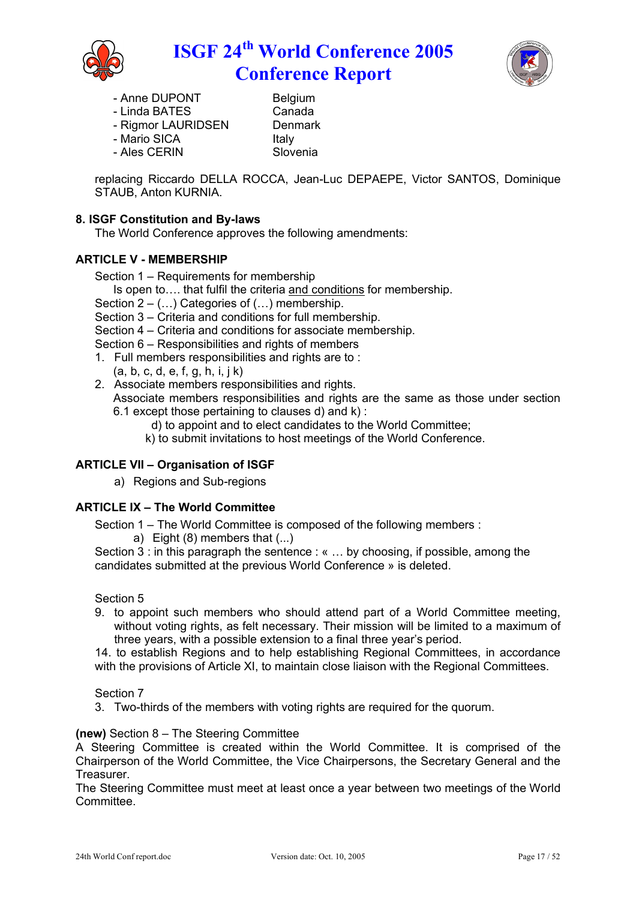



- 
- Anne DUPONT Belgium<br>- Linda BATES Canada - Linda BATES Canada<br>- Rigmor LAURIDSEN Denmark
- Rigmor LAURIDSEN
- Mario SICA **Italy**
- Ales CERIN Slovenia

replacing Riccardo DELLA ROCCA, Jean-Luc DEPAEPE, Victor SANTOS, Dominique STAUB, Anton KURNIA.

### **8. ISGF Constitution and By-laws**

The World Conference approves the following amendments:

### **ARTICLE V - MEMBERSHIP**

Section 1 – Requirements for membership

- Is open to…. that fulfil the criteria and conditions for membership.
- Section  $2 (\dots)$  Categories of  $(\dots)$  membership.

Section 3 – Criteria and conditions for full membership.

Section 4 – Criteria and conditions for associate membership.

Section 6 – Responsibilities and rights of members

- 1. Full members responsibilities and rights are to :
	- $(a, b, c, d, e, f, q, h, i, j, k)$
- 2. Associate members responsibilities and rights. Associate members responsibilities and rights are the same as those under section 6.1 except those pertaining to clauses d) and k) :
	- d) to appoint and to elect candidates to the World Committee;
	- k) to submit invitations to host meetings of the World Conference.

### **ARTICLE VII – Organisation of ISGF**

a) Regions and Sub-regions

### **ARTICLE IX – The World Committee**

Section 1 – The World Committee is composed of the following members :

a) Eight (8) members that (...)

Section 3 : in this paragraph the sentence : «  $\dots$  by choosing, if possible, among the candidates submitted at the previous World Conference » is deleted.

#### Section 5

9. to appoint such members who should attend part of a World Committee meeting, without voting rights, as felt necessary. Their mission will be limited to a maximum of three years, with a possible extension to a final three year's period.

14. to establish Regions and to help establishing Regional Committees, in accordance with the provisions of Article XI, to maintain close liaison with the Regional Committees.

#### Section 7

3. Two-thirds of the members with voting rights are required for the quorum.

### **(new)** Section 8 – The Steering Committee

A Steering Committee is created within the World Committee. It is comprised of the Chairperson of the World Committee, the Vice Chairpersons, the Secretary General and the Treasurer.

The Steering Committee must meet at least once a year between two meetings of the World Committee.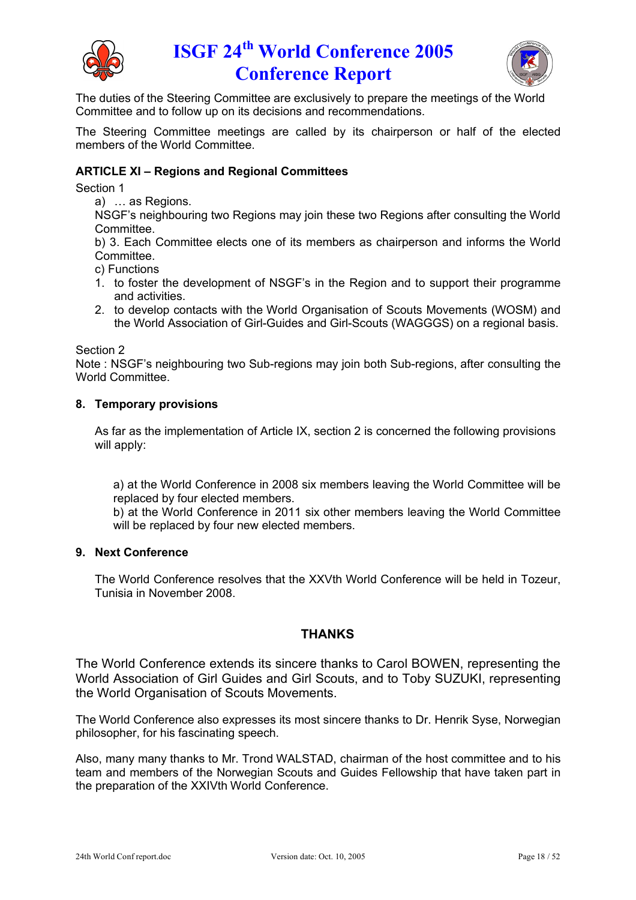



The duties of the Steering Committee are exclusively to prepare the meetings of the World Committee and to follow up on its decisions and recommendations.

The Steering Committee meetings are called by its chairperson or half of the elected members of the World Committee.

### **ARTICLE XI – Regions and Regional Committees**

Section 1

a) … as Regions.

NSGF's neighbouring two Regions may join these two Regions after consulting the World Committee.

b) 3. Each Committee elects one of its members as chairperson and informs the World Committee.

c) Functions

- 1. to foster the development of NSGF's in the Region and to support their programme and activities.
- 2. to develop contacts with the World Organisation of Scouts Movements (WOSM) and the World Association of Girl-Guides and Girl-Scouts (WAGGGS) on a regional basis.

#### Section 2

Note : NSGF's neighbouring two Sub-regions may join both Sub-regions, after consulting the World Committee.

#### **8. Temporary provisions**

As far as the implementation of Article IX, section 2 is concerned the following provisions will apply:

a) at the World Conference in 2008 six members leaving the World Committee will be replaced by four elected members.

b) at the World Conference in 2011 six other members leaving the World Committee will be replaced by four new elected members.

#### **9. Next Conference**

The World Conference resolves that the XXVth World Conference will be held in Tozeur, Tunisia in November 2008.

### **THANKS**

The World Conference extends its sincere thanks to Carol BOWEN, representing the World Association of Girl Guides and Girl Scouts, and to Toby SUZUKI, representing the World Organisation of Scouts Movements.

The World Conference also expresses its most sincere thanks to Dr. Henrik Syse, Norwegian philosopher, for his fascinating speech.

Also, many many thanks to Mr. Trond WALSTAD, chairman of the host committee and to his team and members of the Norwegian Scouts and Guides Fellowship that have taken part in the preparation of the XXIVth World Conference.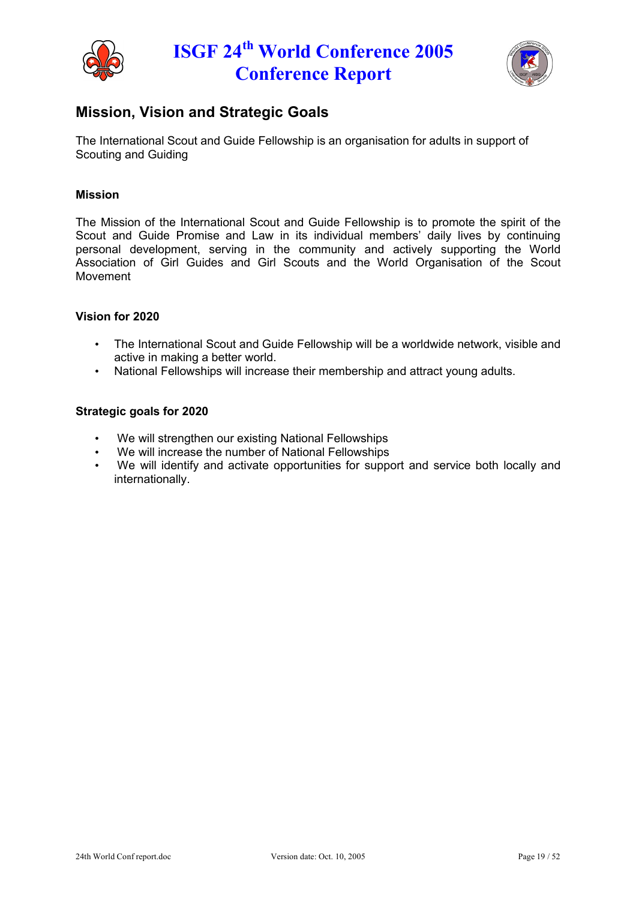



## **Mission, Vision and Strategic Goals**

The International Scout and Guide Fellowship is an organisation for adults in support of Scouting and Guiding

### **Mission**

The Mission of the International Scout and Guide Fellowship is to promote the spirit of the Scout and Guide Promise and Law in its individual members' daily lives by continuing personal development, serving in the community and actively supporting the World Association of Girl Guides and Girl Scouts and the World Organisation of the Scout Movement

#### **Vision for 2020**

- The International Scout and Guide Fellowship will be a worldwide network, visible and active in making a better world.
- National Fellowships will increase their membership and attract young adults.

#### **Strategic goals for 2020**

- We will strengthen our existing National Fellowships
- We will increase the number of National Fellowships
- We will identify and activate opportunities for support and service both locally and internationally.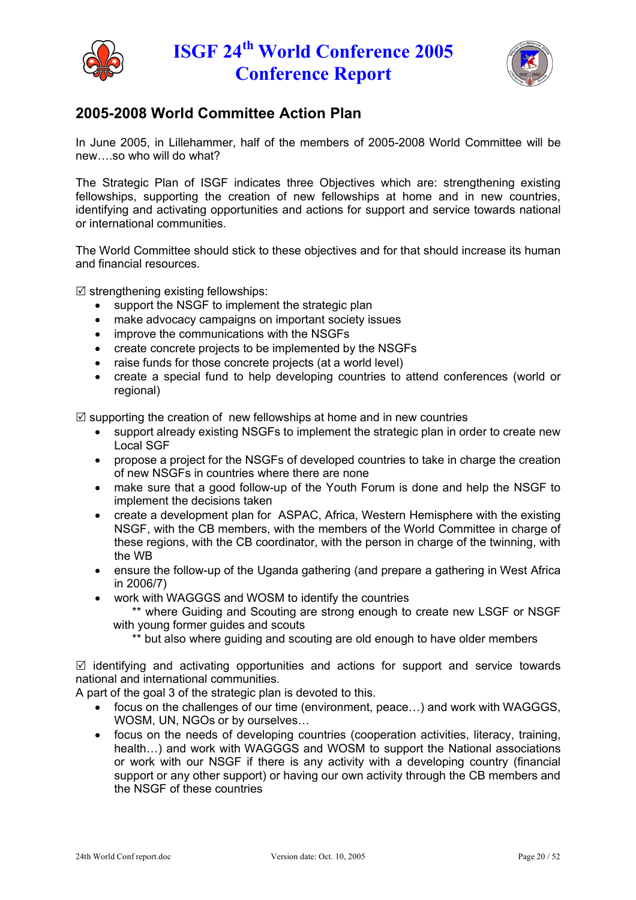



## **2005-2008 World Committee Action Plan**

In June 2005, in Lillehammer, half of the members of 2005-2008 World Committee will be new….so who will do what?

The Strategic Plan of ISGF indicates three Objectives which are: strengthening existing fellowships, supporting the creation of new fellowships at home and in new countries, identifying and activating opportunities and actions for support and service towards national or international communities.

The World Committee should stick to these objectives and for that should increase its human and financial resources.

 $\boxtimes$  strengthening existing fellowships:

- support the NSGF to implement the strategic plan
- make advocacy campaigns on important society issues
- improve the communications with the NSGFs
- create concrete projects to be implemented by the NSGFs
- raise funds for those concrete projects (at a world level)
- create a special fund to help developing countries to attend conferences (world or regional)

 $\boxtimes$  supporting the creation of new fellowships at home and in new countries

- support already existing NSGFs to implement the strategic plan in order to create new Local SGF
- propose a project for the NSGFs of developed countries to take in charge the creation of new NSGFs in countries where there are none
- make sure that a good follow-up of the Youth Forum is done and help the NSGF to implement the decisions taken
- create a development plan for ASPAC, Africa, Western Hemisphere with the existing NSGF, with the CB members, with the members of the World Committee in charge of these regions, with the CB coordinator, with the person in charge of the twinning, with the WB
- ensure the follow-up of the Uganda gathering (and prepare a gathering in West Africa in 2006/7)
- work with WAGGGS and WOSM to identify the countries

\*\* where Guiding and Scouting are strong enough to create new LSGF or NSGF with young former guides and scouts

\*\* but also where guiding and scouting are old enough to have older members

 $\boxtimes$  identifying and activating opportunities and actions for support and service towards national and international communities.

A part of the goal 3 of the strategic plan is devoted to this.

- focus on the challenges of our time (environment, peace…) and work with WAGGGS, WOSM, UN, NGOs or by ourselves…
- focus on the needs of developing countries (cooperation activities, literacy, training, health…) and work with WAGGGS and WOSM to support the National associations or work with our NSGF if there is any activity with a developing country (financial support or any other support) or having our own activity through the CB members and the NSGF of these countries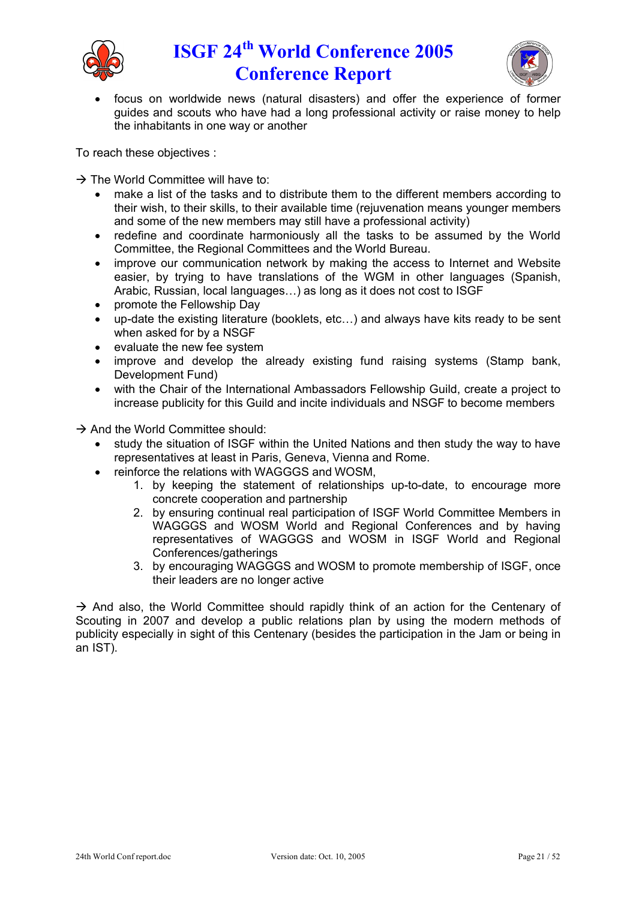



 focus on worldwide news (natural disasters) and offer the experience of former guides and scouts who have had a long professional activity or raise money to help the inhabitants in one way or another

To reach these objectives :

 $\rightarrow$  The World Committee will have to:

- make a list of the tasks and to distribute them to the different members according to their wish, to their skills, to their available time (rejuvenation means younger members and some of the new members may still have a professional activity)
- redefine and coordinate harmoniously all the tasks to be assumed by the World Committee, the Regional Committees and the World Bureau.
- improve our communication network by making the access to Internet and Website easier, by trying to have translations of the WGM in other languages (Spanish, Arabic, Russian, local languages…) as long as it does not cost to ISGF
- promote the Fellowship Day
- up-date the existing literature (booklets, etc…) and always have kits ready to be sent when asked for by a NSGF
- evaluate the new fee system
- improve and develop the already existing fund raising systems (Stamp bank, Development Fund)
- with the Chair of the International Ambassadors Fellowship Guild, create a project to increase publicity for this Guild and incite individuals and NSGF to become members

 $\rightarrow$  And the World Committee should:

- study the situation of ISGF within the United Nations and then study the way to have representatives at least in Paris, Geneva, Vienna and Rome.
- reinforce the relations with WAGGGS and WOSM,
	- 1. by keeping the statement of relationships up-to-date, to encourage more concrete cooperation and partnership
	- 2. by ensuring continual real participation of ISGF World Committee Members in WAGGGS and WOSM World and Regional Conferences and by having representatives of WAGGGS and WOSM in ISGF World and Regional Conferences/gatherings
	- 3. by encouraging WAGGGS and WOSM to promote membership of ISGF, once their leaders are no longer active

 $\rightarrow$  And also, the World Committee should rapidly think of an action for the Centenary of Scouting in 2007 and develop a public relations plan by using the modern methods of publicity especially in sight of this Centenary (besides the participation in the Jam or being in an IST).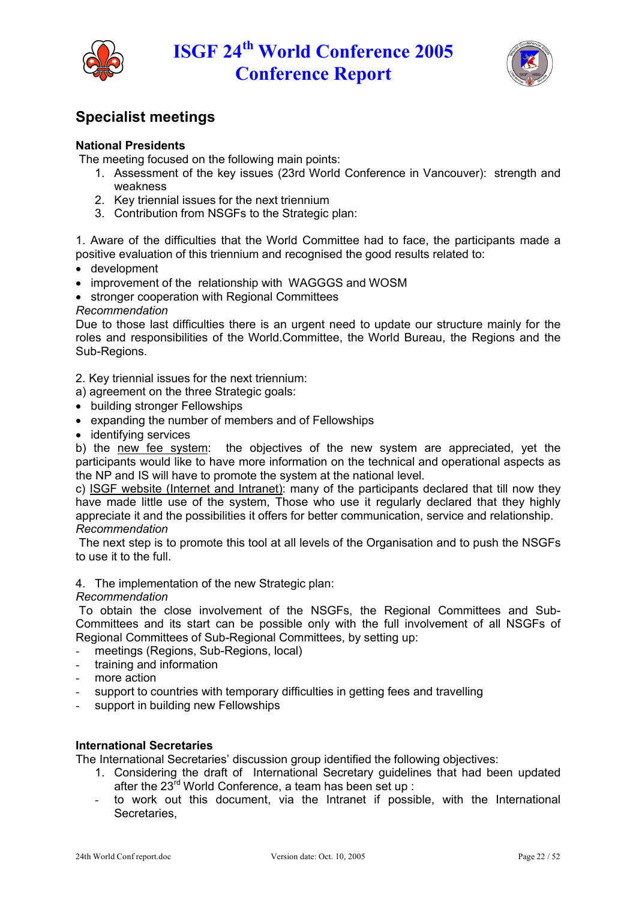



## **Specialist meetings**

### **National Presidents**

The meeting focused on the following main points:

- 1. Assessment of the key issues (23rd World Conference in Vancouver): strength and weakness
- 2. Key triennial issues for the next triennium
- 3. Contribution from NSGFs to the Strategic plan:

1. Aware of the difficulties that the World Committee had to face, the participants made a positive evaluation of this triennium and recognised the good results related to:

- development
- improvement of the relationship with WAGGGS and WOSM
- stronger cooperation with Regional Committees

#### *Recommendation*

Due to those last difficulties there is an urgent need to update our structure mainly for the roles and responsibilities of the World.Committee, the World Bureau, the Regions and the Sub-Regions.

2. Key triennial issues for the next triennium:

- a) agreement on the three Strategic goals:
- building stronger Fellowships
- expanding the number of members and of Fellowships
- identifying services

b) the new fee system: the objectives of the new system are appreciated, yet the participants would like to have more information on the technical and operational aspects as the NP and IS will have to promote the system at the national level.

c) ISGF website (Internet and Intranet): many of the participants declared that till now they have made little use of the system, Those who use it regularly declared that they highly appreciate it and the possibilities it offers for better communication, service and relationship. *Recommendation*

The next step is to promote this tool at all levels of the Organisation and to push the NSGFs to use it to the full.

#### 4. The implementation of the new Strategic plan:

#### *Recommendation*

To obtain the close involvement of the NSGFs, the Regional Committees and Sub-Committees and its start can be possible only with the full involvement of all NSGFs of Regional Committees of Sub-Regional Committees, by setting up:

- meetings (Regions, Sub-Regions, local)
- training and information
- more action
- support to countries with temporary difficulties in getting fees and travelling
- support in building new Fellowships

### **International Secretaries**

The International Secretaries' discussion group identified the following objectives:

- 1. Considering the draft of International Secretary guidelines that had been updated after the 23<sup>rd</sup> World Conference, a team has been set up :
- to work out this document, via the Intranet if possible, with the International Secretaries,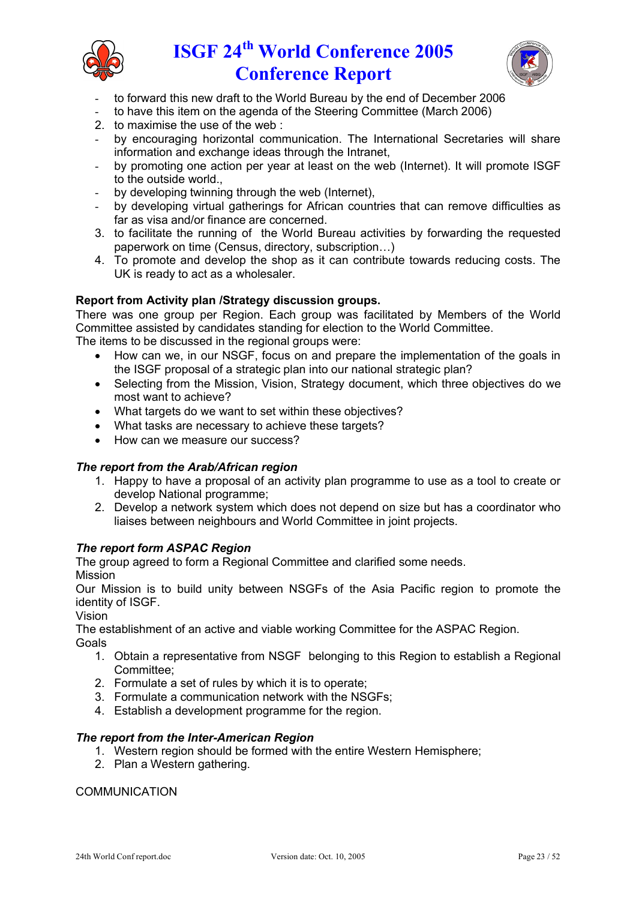



- to forward this new draft to the World Bureau by the end of December 2006
- to have this item on the agenda of the Steering Committee (March 2006)
- 2. to maximise the use of the web :
- by encouraging horizontal communication. The International Secretaries will share information and exchange ideas through the Intranet,
- by promoting one action per year at least on the web (Internet). It will promote ISGF to the outside world.,
- by developing twinning through the web (Internet),
- by developing virtual gatherings for African countries that can remove difficulties as far as visa and/or finance are concerned.
- 3. to facilitate the running of the World Bureau activities by forwarding the requested paperwork on time (Census, directory, subscription…)
- 4. To promote and develop the shop as it can contribute towards reducing costs. The UK is ready to act as a wholesaler.

### **Report from Activity plan /Strategy discussion groups.**

There was one group per Region. Each group was facilitated by Members of the World Committee assisted by candidates standing for election to the World Committee. The items to be discussed in the regional groups were:

- How can we, in our NSGF, focus on and prepare the implementation of the goals in the ISGF proposal of a strategic plan into our national strategic plan?
- Selecting from the Mission, Vision, Strategy document, which three objectives do we most want to achieve?
- What targets do we want to set within these objectives?
- What tasks are necessary to achieve these targets?
- How can we measure our success?

### *The report from the Arab/African region*

- 1. Happy to have a proposal of an activity plan programme to use as a tool to create or develop National programme;
- 2. Develop a network system which does not depend on size but has a coordinator who liaises between neighbours and World Committee in joint projects.

### *The report form ASPAC Region*

The group agreed to form a Regional Committee and clarified some needs. Mission

Our Mission is to build unity between NSGFs of the Asia Pacific region to promote the identity of ISGF.

Vision

The establishment of an active and viable working Committee for the ASPAC Region. **Goals** 

- 1. Obtain a representative from NSGF belonging to this Region to establish a Regional Committee;
- 2. Formulate a set of rules by which it is to operate;
- 3. Formulate a communication network with the NSGFs;
- 4. Establish a development programme for the region.

### *The report from the Inter-American Region*

- 1. Western region should be formed with the entire Western Hemisphere;
- 2. Plan a Western gathering.

### COMMUNICATION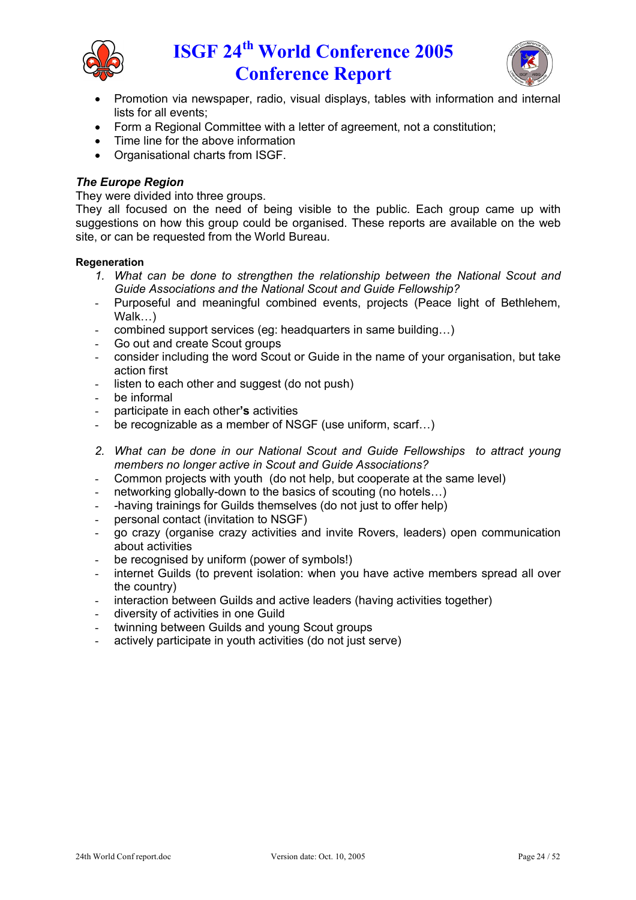



- Promotion via newspaper, radio, visual displays, tables with information and internal lists for all events;
- Form a Regional Committee with a letter of agreement, not a constitution;
- Time line for the above information
- Organisational charts from ISGF.

### *The Europe Region*

They were divided into three groups.

They all focused on the need of being visible to the public. Each group came up with suggestions on how this group could be organised. These reports are available on the web site, or can be requested from the World Bureau.

#### **Regeneration**

- *1. What can be done to strengthen the relationship between the National Scout and Guide Associations and the National Scout and Guide Fellowship?*
- Purposeful and meaningful combined events, projects (Peace light of Bethlehem, Walk…)
- combined support services (eg: headquarters in same building…)
- Go out and create Scout groups
- consider including the word Scout or Guide in the name of your organisation, but take action first
- listen to each other and suggest (do not push)
- be informal
- participate in each other**'s** activities
- be recognizable as a member of NSGF (use uniform, scarf...)
- *2. What can be done in our National Scout and Guide Fellowships to attract young members no longer active in Scout and Guide Associations?*
- Common projects with youth (do not help, but cooperate at the same level)
- networking globally-down to the basics of scouting (no hotels...)
- -having trainings for Guilds themselves (do not just to offer help)
- personal contact (invitation to NSGF)
- go crazy (organise crazy activities and invite Rovers, leaders) open communication about activities
- be recognised by uniform (power of symbols!)
- internet Guilds (to prevent isolation: when you have active members spread all over the country)
- interaction between Guilds and active leaders (having activities together)
- diversity of activities in one Guild
- twinning between Guilds and young Scout groups
- actively participate in youth activities (do not just serve)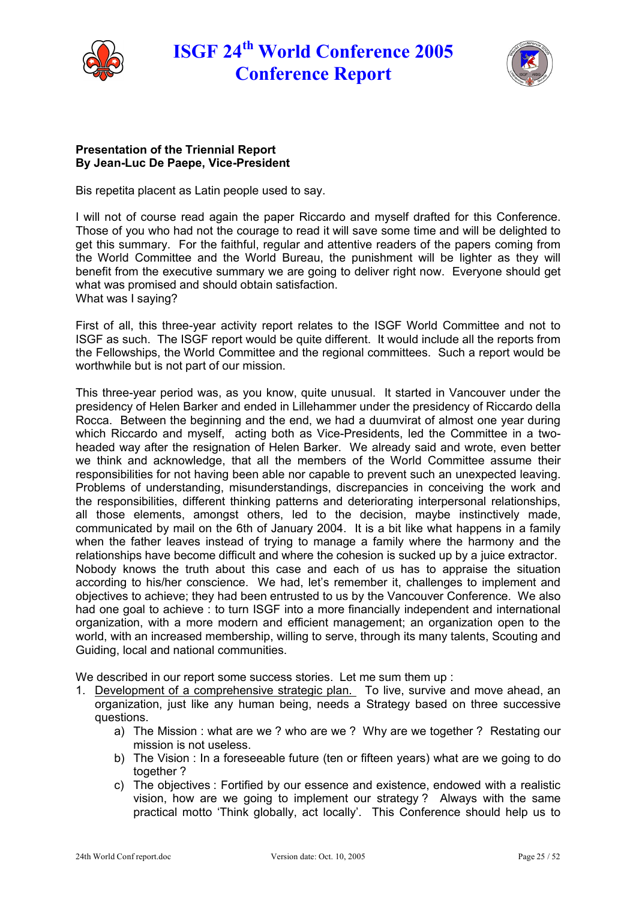



#### **Presentation of the Triennial Report By Jean-Luc De Paepe, Vice-President**

Bis repetita placent as Latin people used to say.

I will not of course read again the paper Riccardo and myself drafted for this Conference. Those of you who had not the courage to read it will save some time and will be delighted to get this summary. For the faithful, regular and attentive readers of the papers coming from the World Committee and the World Bureau, the punishment will be lighter as they will benefit from the executive summary we are going to deliver right now. Everyone should get what was promised and should obtain satisfaction. What was I saying?

First of all, this three-year activity report relates to the ISGF World Committee and not to ISGF as such. The ISGF report would be quite different. It would include all the reports from the Fellowships, the World Committee and the regional committees. Such a report would be worthwhile but is not part of our mission.

This three-year period was, as you know, quite unusual. It started in Vancouver under the presidency of Helen Barker and ended in Lillehammer under the presidency of Riccardo della Rocca. Between the beginning and the end, we had a duumvirat of almost one year during which Riccardo and myself, acting both as Vice-Presidents, led the Committee in a twoheaded way after the resignation of Helen Barker. We already said and wrote, even better we think and acknowledge, that all the members of the World Committee assume their responsibilities for not having been able nor capable to prevent such an unexpected leaving. Problems of understanding, misunderstandings, discrepancies in conceiving the work and the responsibilities, different thinking patterns and deteriorating interpersonal relationships, all those elements, amongst others, led to the decision, maybe instinctively made, communicated by mail on the 6th of January 2004. It is a bit like what happens in a family when the father leaves instead of trying to manage a family where the harmony and the relationships have become difficult and where the cohesion is sucked up by a juice extractor. Nobody knows the truth about this case and each of us has to appraise the situation according to his/her conscience. We had, let's remember it, challenges to implement and objectives to achieve; they had been entrusted to us by the Vancouver Conference. We also had one goal to achieve : to turn ISGF into a more financially independent and international organization, with a more modern and efficient management; an organization open to the world, with an increased membership, willing to serve, through its many talents, Scouting and Guiding, local and national communities.

We described in our report some success stories. Let me sum them up :

- 1. Development of a comprehensive strategic plan. To live, survive and move ahead, an organization, just like any human being, needs a Strategy based on three successive questions.
	- a) The Mission : what are we ? who are we ? Why are we together ? Restating our mission is not useless.
	- b) The Vision : In a foreseeable future (ten or fifteen years) what are we going to do together ?
	- c) The objectives : Fortified by our essence and existence, endowed with a realistic vision, how are we going to implement our strategy ? Always with the same practical motto 'Think globally, act locally'. This Conference should help us to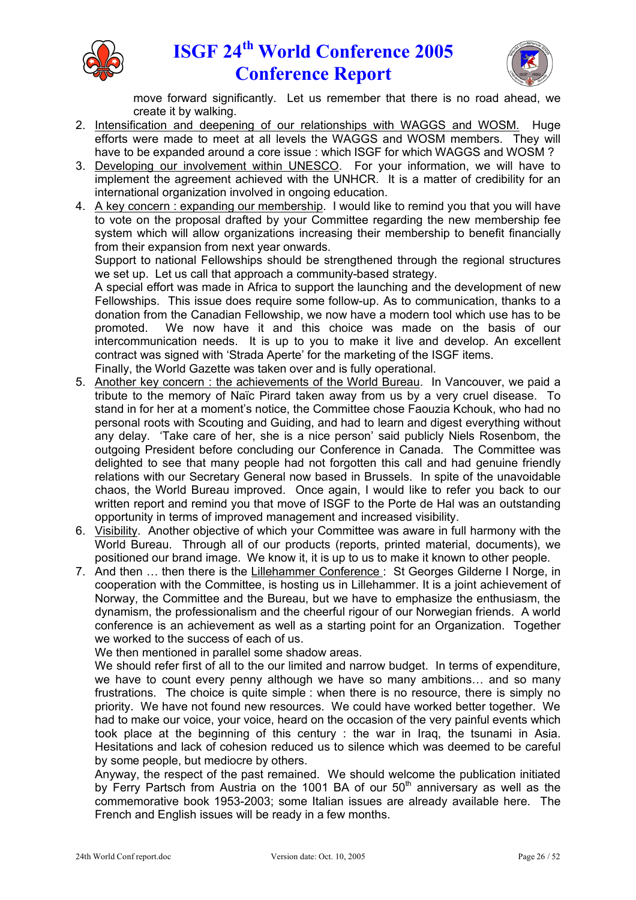



move forward significantly. Let us remember that there is no road ahead, we create it by walking.

- 2. Intensification and deepening of our relationships with WAGGS and WOSM. Huge efforts were made to meet at all levels the WAGGS and WOSM members. They will have to be expanded around a core issue : which ISGF for which WAGGS and WOSM?
- 3. Developing our involvement within UNESCO. For your information, we will have to implement the agreement achieved with the UNHCR. It is a matter of credibility for an international organization involved in ongoing education.
- 4. A key concern : expanding our membership. I would like to remind you that you will have to vote on the proposal drafted by your Committee regarding the new membership fee system which will allow organizations increasing their membership to benefit financially from their expansion from next year onwards.

Support to national Fellowships should be strengthened through the regional structures we set up. Let us call that approach a community-based strategy.

A special effort was made in Africa to support the launching and the development of new Fellowships. This issue does require some follow-up. As to communication, thanks to a donation from the Canadian Fellowship, we now have a modern tool which use has to be promoted. We now have it and this choice was made on the basis of our intercommunication needs. It is up to you to make it live and develop. An excellent contract was signed with 'Strada Aperte' for the marketing of the ISGF items. Finally, the World Gazette was taken over and is fully operational.

- 5. Another key concern : the achievements of the World Bureau. In Vancouver, we paid a tribute to the memory of Naïc Pirard taken away from us by a very cruel disease. To stand in for her at a moment's notice, the Committee chose Faouzia Kchouk, who had no personal roots with Scouting and Guiding, and had to learn and digest everything without any delay. 'Take care of her, she is a nice person' said publicly Niels Rosenbom, the outgoing President before concluding our Conference in Canada. The Committee was delighted to see that many people had not forgotten this call and had genuine friendly relations with our Secretary General now based in Brussels. In spite of the unavoidable chaos, the World Bureau improved. Once again, I would like to refer you back to our written report and remind you that move of ISGF to the Porte de Hal was an outstanding opportunity in terms of improved management and increased visibility.
- 6. Visibility. Another objective of which your Committee was aware in full harmony with the World Bureau. Through all of our products (reports, printed material, documents), we positioned our brand image. We know it, it is up to us to make it known to other people.
- 7. And then … then there is the Lillehammer Conference : St Georges Gilderne I Norge, in cooperation with the Committee, is hosting us in Lillehammer. It is a joint achievement of Norway, the Committee and the Bureau, but we have to emphasize the enthusiasm, the dynamism, the professionalism and the cheerful rigour of our Norwegian friends. A world conference is an achievement as well as a starting point for an Organization. Together we worked to the success of each of us.

We then mentioned in parallel some shadow areas.

We should refer first of all to the our limited and narrow budget. In terms of expenditure, we have to count every penny although we have so many ambitions… and so many frustrations. The choice is quite simple : when there is no resource, there is simply no priority. We have not found new resources. We could have worked better together. We had to make our voice, your voice, heard on the occasion of the very painful events which took place at the beginning of this century : the war in Iraq, the tsunami in Asia. Hesitations and lack of cohesion reduced us to silence which was deemed to be careful by some people, but mediocre by others.

Anyway, the respect of the past remained. We should welcome the publication initiated by Ferry Partsch from Austria on the 1001 BA of our  $50<sup>th</sup>$  anniversary as well as the commemorative book 1953-2003; some Italian issues are already available here. The French and English issues will be ready in a few months.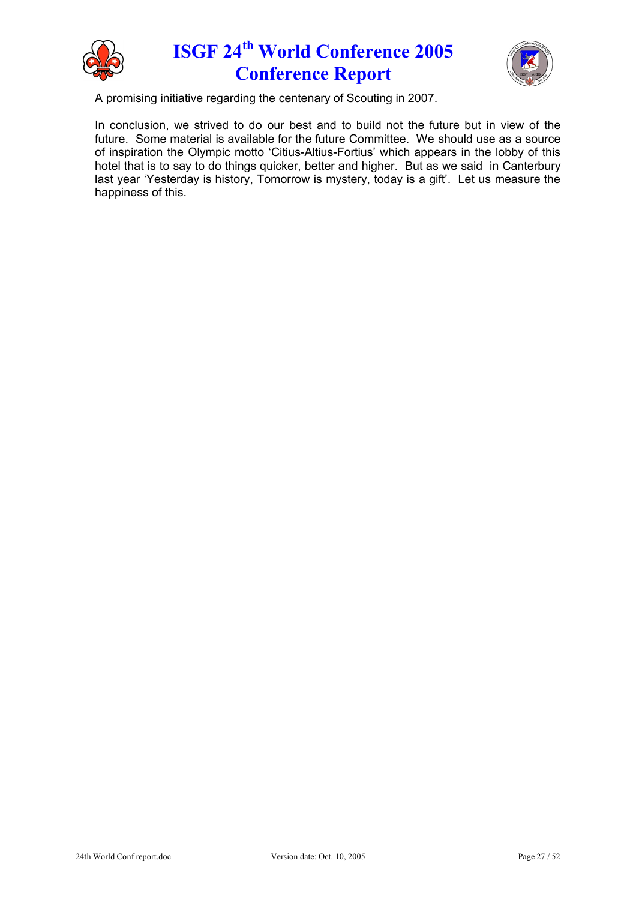



A promising initiative regarding the centenary of Scouting in 2007.

In conclusion, we strived to do our best and to build not the future but in view of the future. Some material is available for the future Committee. We should use as a source of inspiration the Olympic motto 'Citius-Altius-Fortius' which appears in the lobby of this hotel that is to say to do things quicker, better and higher. But as we said in Canterbury last year 'Yesterday is history, Tomorrow is mystery, today is a gift'. Let us measure the happiness of this.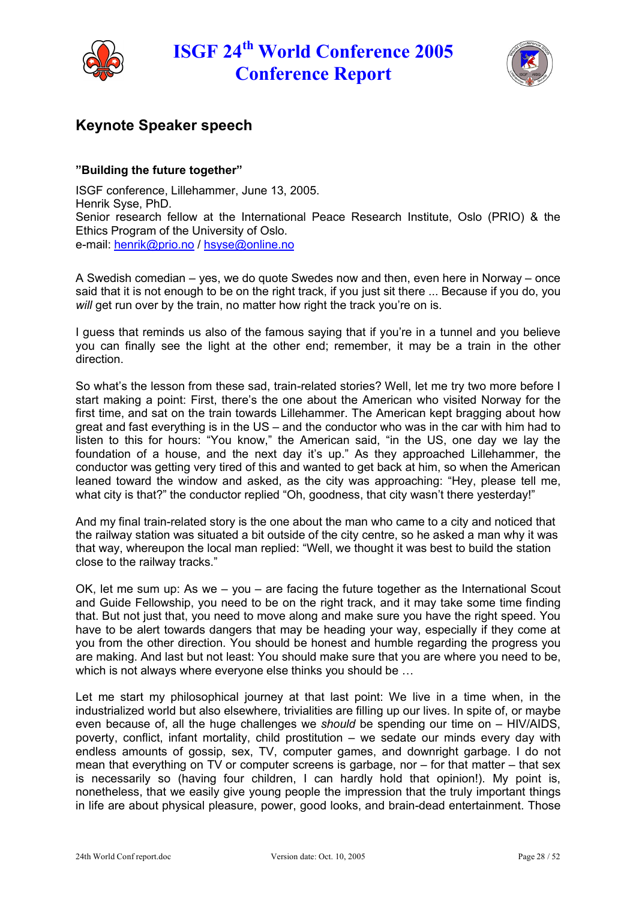



## **Keynote Speaker speech**

### **"Building the future together"**

ISGF conference, Lillehammer, June 13, 2005. Henrik Syse, PhD. Senior research fellow at the International Peace Research Institute, Oslo (PRIO) & the Ethics Program of the University of Oslo. e-mail: [henrik@prio.no](mailto:henrik@prio.no) / [hsyse@online.no](mailto:hsyse@online.no)

A Swedish comedian – yes, we do quote Swedes now and then, even here in Norway – once said that it is not enough to be on the right track, if you just sit there ... Because if you do, you *will* get run over by the train, no matter how right the track you're on is.

I guess that reminds us also of the famous saying that if you're in a tunnel and you believe you can finally see the light at the other end; remember, it may be a train in the other direction.

So what's the lesson from these sad, train-related stories? Well, let me try two more before I start making a point: First, there's the one about the American who visited Norway for the first time, and sat on the train towards Lillehammer. The American kept bragging about how great and fast everything is in the US – and the conductor who was in the car with him had to listen to this for hours: "You know," the American said, "in the US, one day we lay the foundation of a house, and the next day it's up." As they approached Lillehammer, the conductor was getting very tired of this and wanted to get back at him, so when the American leaned toward the window and asked, as the city was approaching: "Hey, please tell me, what city is that?" the conductor replied "Oh, goodness, that city wasn't there yesterday!"

And my final train-related story is the one about the man who came to a city and noticed that the railway station was situated a bit outside of the city centre, so he asked a man why it was that way, whereupon the local man replied: "Well, we thought it was best to build the station close to the railway tracks."

OK, let me sum up: As we – you – are facing the future together as the International Scout and Guide Fellowship, you need to be on the right track, and it may take some time finding that. But not just that, you need to move along and make sure you have the right speed. You have to be alert towards dangers that may be heading your way, especially if they come at you from the other direction. You should be honest and humble regarding the progress you are making. And last but not least: You should make sure that you are where you need to be, which is not always where everyone else thinks you should be …

Let me start my philosophical journey at that last point: We live in a time when, in the industrialized world but also elsewhere, trivialities are filling up our lives. In spite of, or maybe even because of, all the huge challenges we *should* be spending our time on – HIV/AIDS, poverty, conflict, infant mortality, child prostitution – we sedate our minds every day with endless amounts of gossip, sex, TV, computer games, and downright garbage. I do not mean that everything on TV or computer screens is garbage, nor – for that matter – that sex is necessarily so (having four children, I can hardly hold that opinion!). My point is, nonetheless, that we easily give young people the impression that the truly important things in life are about physical pleasure, power, good looks, and brain-dead entertainment. Those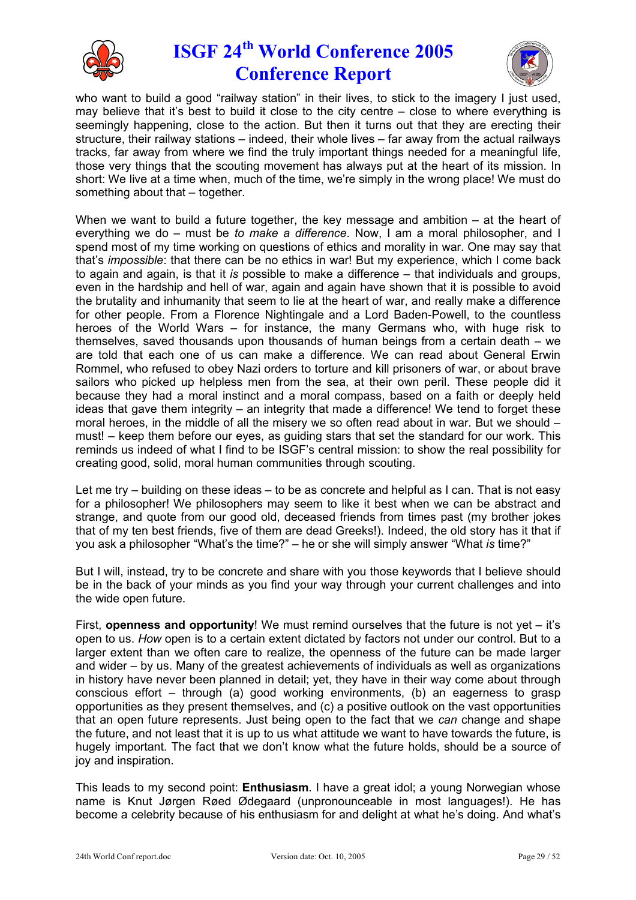



who want to build a good "railway station" in their lives, to stick to the imagery I just used, may believe that it's best to build it close to the city centre – close to where everything is seemingly happening, close to the action. But then it turns out that they are erecting their structure, their railway stations – indeed, their whole lives – far away from the actual railways tracks, far away from where we find the truly important things needed for a meaningful life, those very things that the scouting movement has always put at the heart of its mission. In short: We live at a time when, much of the time, we're simply in the wrong place! We must do something about that – together.

When we want to build a future together, the key message and ambition  $-$  at the heart of everything we do – must be *to make a difference*. Now, I am a moral philosopher, and I spend most of my time working on questions of ethics and morality in war. One may say that that's *impossible*: that there can be no ethics in war! But my experience, which I come back to again and again, is that it *is* possible to make a difference – that individuals and groups, even in the hardship and hell of war, again and again have shown that it is possible to avoid the brutality and inhumanity that seem to lie at the heart of war, and really make a difference for other people. From a Florence Nightingale and a Lord Baden-Powell, to the countless heroes of the World Wars – for instance, the many Germans who, with huge risk to themselves, saved thousands upon thousands of human beings from a certain death – we are told that each one of us can make a difference. We can read about General Erwin Rommel, who refused to obey Nazi orders to torture and kill prisoners of war, or about brave sailors who picked up helpless men from the sea, at their own peril. These people did it because they had a moral instinct and a moral compass, based on a faith or deeply held ideas that gave them integrity – an integrity that made a difference! We tend to forget these moral heroes, in the middle of all the misery we so often read about in war. But we should – must! – keep them before our eyes, as guiding stars that set the standard for our work. This reminds us indeed of what I find to be ISGF's central mission: to show the real possibility for creating good, solid, moral human communities through scouting.

Let me try – building on these ideas – to be as concrete and helpful as I can. That is not easy for a philosopher! We philosophers may seem to like it best when we can be abstract and strange, and quote from our good old, deceased friends from times past (my brother jokes that of my ten best friends, five of them are dead Greeks!). Indeed, the old story has it that if you ask a philosopher "What's the time?" – he or she will simply answer "What *is* time?"

But I will, instead, try to be concrete and share with you those keywords that I believe should be in the back of your minds as you find your way through your current challenges and into the wide open future.

First, **openness and opportunity**! We must remind ourselves that the future is not yet – it's open to us. *How* open is to a certain extent dictated by factors not under our control. But to a larger extent than we often care to realize, the openness of the future can be made larger and wider – by us. Many of the greatest achievements of individuals as well as organizations in history have never been planned in detail; yet, they have in their way come about through conscious effort – through (a) good working environments, (b) an eagerness to grasp opportunities as they present themselves, and (c) a positive outlook on the vast opportunities that an open future represents. Just being open to the fact that we *can* change and shape the future, and not least that it is up to us what attitude we want to have towards the future, is hugely important. The fact that we don't know what the future holds, should be a source of joy and inspiration.

This leads to my second point: **Enthusiasm**. I have a great idol; a young Norwegian whose name is Knut Jørgen Røed Ødegaard (unpronounceable in most languages!). He has become a celebrity because of his enthusiasm for and delight at what he's doing. And what's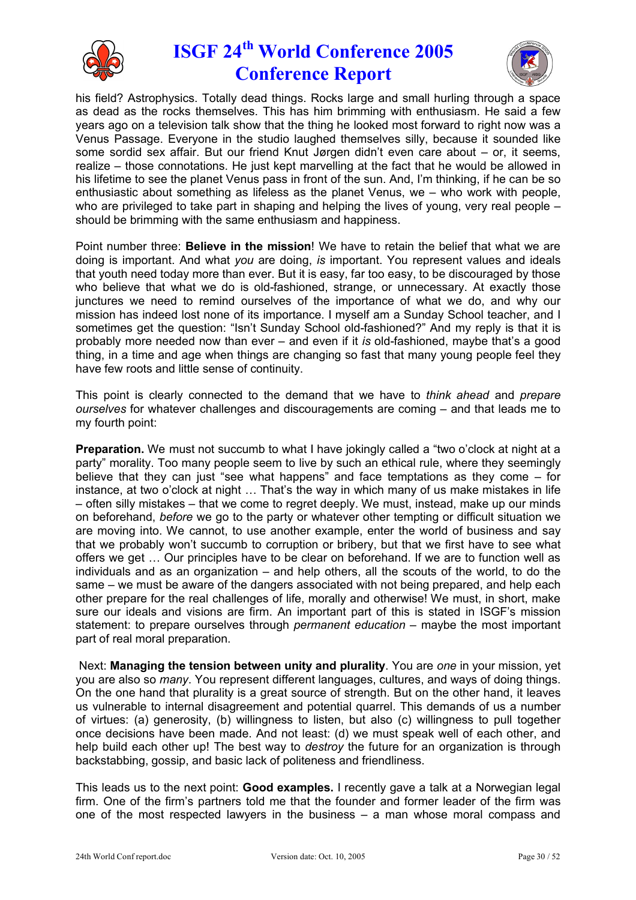



his field? Astrophysics. Totally dead things. Rocks large and small hurling through a space as dead as the rocks themselves. This has him brimming with enthusiasm. He said a few years ago on a television talk show that the thing he looked most forward to right now was a Venus Passage. Everyone in the studio laughed themselves silly, because it sounded like some sordid sex affair. But our friend Knut Jørgen didn't even care about – or, it seems, realize – those connotations. He just kept marvelling at the fact that he would be allowed in his lifetime to see the planet Venus pass in front of the sun. And, I'm thinking, if he can be so enthusiastic about something as lifeless as the planet Venus, we – who work with people, who are privileged to take part in shaping and helping the lives of young, very real people – should be brimming with the same enthusiasm and happiness.

Point number three: **Believe in the mission**! We have to retain the belief that what we are doing is important. And what *you* are doing, *is* important. You represent values and ideals that youth need today more than ever. But it is easy, far too easy, to be discouraged by those who believe that what we do is old-fashioned, strange, or unnecessary. At exactly those junctures we need to remind ourselves of the importance of what we do, and why our mission has indeed lost none of its importance. I myself am a Sunday School teacher, and I sometimes get the question: "Isn't Sunday School old-fashioned?" And my reply is that it is probably more needed now than ever – and even if it *is* old-fashioned, maybe that's a good thing, in a time and age when things are changing so fast that many young people feel they have few roots and little sense of continuity.

This point is clearly connected to the demand that we have to *think ahead* and *prepare ourselves* for whatever challenges and discouragements are coming – and that leads me to my fourth point:

**Preparation.** We must not succumb to what I have jokingly called a "two o'clock at night at a party" morality. Too many people seem to live by such an ethical rule, where they seemingly believe that they can just "see what happens" and face temptations as they come – for instance, at two o'clock at night … That's the way in which many of us make mistakes in life – often silly mistakes – that we come to regret deeply. We must, instead, make up our minds on beforehand, *before* we go to the party or whatever other tempting or difficult situation we are moving into. We cannot, to use another example, enter the world of business and say that we probably won't succumb to corruption or bribery, but that we first have to see what offers we get … Our principles have to be clear on beforehand. If we are to function well as individuals and as an organization – and help others, all the scouts of the world, to do the same – we must be aware of the dangers associated with not being prepared, and help each other prepare for the real challenges of life, morally and otherwise! We must, in short, make sure our ideals and visions are firm. An important part of this is stated in ISGF's mission statement: to prepare ourselves through *permanent education* – maybe the most important part of real moral preparation.

Next: **Managing the tension between unity and plurality**. You are *one* in your mission, yet you are also so *many*. You represent different languages, cultures, and ways of doing things. On the one hand that plurality is a great source of strength. But on the other hand, it leaves us vulnerable to internal disagreement and potential quarrel. This demands of us a number of virtues: (a) generosity, (b) willingness to listen, but also (c) willingness to pull together once decisions have been made. And not least: (d) we must speak well of each other, and help build each other up! The best way to *destroy* the future for an organization is through backstabbing, gossip, and basic lack of politeness and friendliness.

This leads us to the next point: **Good examples.** I recently gave a talk at a Norwegian legal firm. One of the firm's partners told me that the founder and former leader of the firm was one of the most respected lawyers in the business – a man whose moral compass and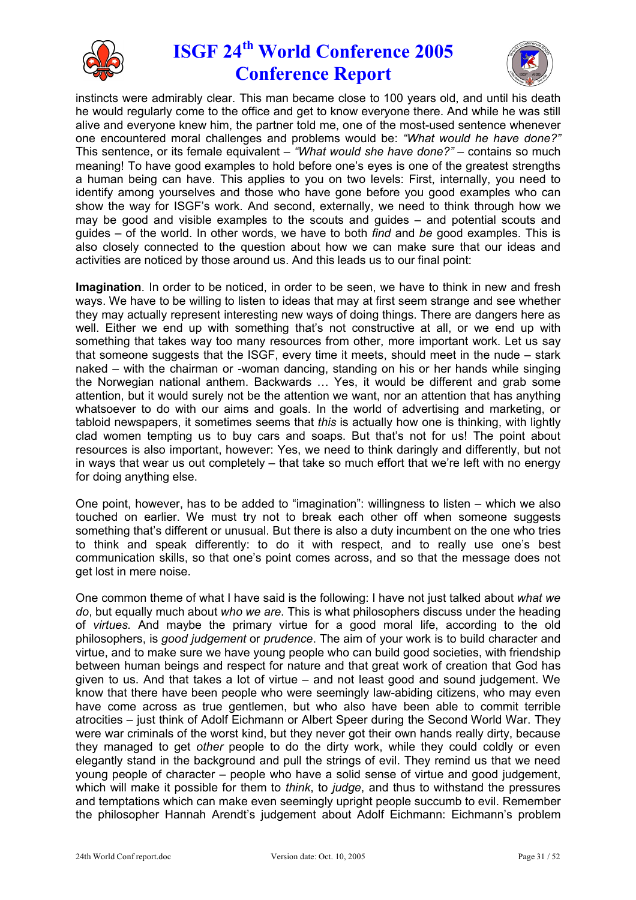



instincts were admirably clear. This man became close to 100 years old, and until his death he would regularly come to the office and get to know everyone there. And while he was still alive and everyone knew him, the partner told me, one of the most-used sentence whenever one encountered moral challenges and problems would be: *"What would he have done?"* This sentence, or its female equivalent – *"What would she have done?"* – contains so much meaning! To have good examples to hold before one's eyes is one of the greatest strengths a human being can have. This applies to you on two levels: First, internally, you need to identify among yourselves and those who have gone before you good examples who can show the way for ISGF's work. And second, externally, we need to think through how we may be good and visible examples to the scouts and guides – and potential scouts and guides – of the world. In other words, we have to both *find* and *be* good examples. This is also closely connected to the question about how we can make sure that our ideas and activities are noticed by those around us. And this leads us to our final point:

**Imagination**. In order to be noticed, in order to be seen, we have to think in new and fresh ways. We have to be willing to listen to ideas that may at first seem strange and see whether they may actually represent interesting new ways of doing things. There are dangers here as well. Either we end up with something that's not constructive at all, or we end up with something that takes way too many resources from other, more important work. Let us say that someone suggests that the ISGF, every time it meets, should meet in the nude – stark naked – with the chairman or -woman dancing, standing on his or her hands while singing the Norwegian national anthem. Backwards … Yes, it would be different and grab some attention, but it would surely not be the attention we want, nor an attention that has anything whatsoever to do with our aims and goals. In the world of advertising and marketing, or tabloid newspapers, it sometimes seems that *this* is actually how one is thinking, with lightly clad women tempting us to buy cars and soaps. But that's not for us! The point about resources is also important, however: Yes, we need to think daringly and differently, but not in ways that wear us out completely – that take so much effort that we're left with no energy for doing anything else.

One point, however, has to be added to "imagination": willingness to listen – which we also touched on earlier. We must try not to break each other off when someone suggests something that's different or unusual. But there is also a duty incumbent on the one who tries to think and speak differently: to do it with respect, and to really use one's best communication skills, so that one's point comes across, and so that the message does not get lost in mere noise.

One common theme of what I have said is the following: I have not just talked about *what we do*, but equally much about *who we are*. This is what philosophers discuss under the heading of *virtues*. And maybe the primary virtue for a good moral life, according to the old philosophers, is *good judgement* or *prudence*. The aim of your work is to build character and virtue, and to make sure we have young people who can build good societies, with friendship between human beings and respect for nature and that great work of creation that God has given to us. And that takes a lot of virtue – and not least good and sound judgement. We know that there have been people who were seemingly law-abiding citizens, who may even have come across as true gentlemen, but who also have been able to commit terrible atrocities – just think of Adolf Eichmann or Albert Speer during the Second World War. They were war criminals of the worst kind, but they never got their own hands really dirty, because they managed to get *other* people to do the dirty work, while they could coldly or even elegantly stand in the background and pull the strings of evil. They remind us that we need young people of character – people who have a solid sense of virtue and good judgement, which will make it possible for them to *think*, to *judge*, and thus to withstand the pressures and temptations which can make even seemingly upright people succumb to evil. Remember the philosopher Hannah Arendt's judgement about Adolf Eichmann: Eichmann's problem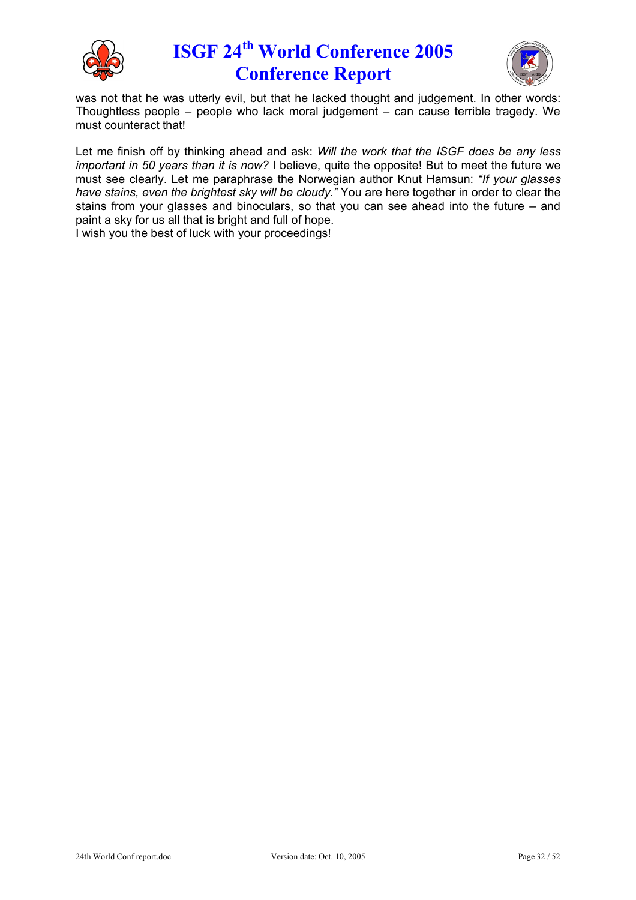



was not that he was utterly evil, but that he lacked thought and judgement. In other words: Thoughtless people – people who lack moral judgement – can cause terrible tragedy. We must counteract that!

Let me finish off by thinking ahead and ask: *Will the work that the ISGF does be any less important in 50 years than it is now?* I believe, quite the opposite! But to meet the future we must see clearly. Let me paraphrase the Norwegian author Knut Hamsun: *"If your glasses have stains, even the brightest sky will be cloudy."* You are here together in order to clear the stains from your glasses and binoculars, so that you can see ahead into the future – and paint a sky for us all that is bright and full of hope.

I wish you the best of luck with your proceedings!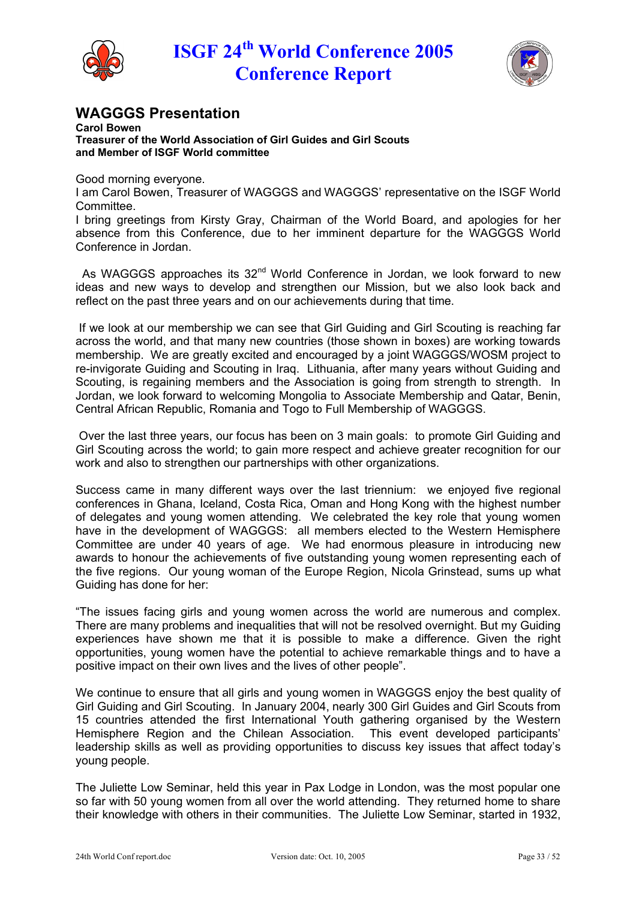



## **WAGGGS Presentation**

**Carol Bowen Treasurer of the World Association of Girl Guides and Girl Scouts and Member of ISGF World committee**

Good morning everyone.

I am Carol Bowen, Treasurer of WAGGGS and WAGGGS' representative on the ISGF World Committee.

I bring greetings from Kirsty Gray, Chairman of the World Board, and apologies for her absence from this Conference, due to her imminent departure for the WAGGGS World Conference in Jordan.

As WAGGGS approaches its 32<sup>nd</sup> World Conference in Jordan, we look forward to new ideas and new ways to develop and strengthen our Mission, but we also look back and reflect on the past three years and on our achievements during that time.

If we look at our membership we can see that Girl Guiding and Girl Scouting is reaching far across the world, and that many new countries (those shown in boxes) are working towards membership. We are greatly excited and encouraged by a joint WAGGGS/WOSM project to re-invigorate Guiding and Scouting in Iraq. Lithuania, after many years without Guiding and Scouting, is regaining members and the Association is going from strength to strength. In Jordan, we look forward to welcoming Mongolia to Associate Membership and Qatar, Benin, Central African Republic, Romania and Togo to Full Membership of WAGGGS.

Over the last three years, our focus has been on 3 main goals: to promote Girl Guiding and Girl Scouting across the world; to gain more respect and achieve greater recognition for our work and also to strengthen our partnerships with other organizations.

Success came in many different ways over the last triennium: we enjoyed five regional conferences in Ghana, Iceland, Costa Rica, Oman and Hong Kong with the highest number of delegates and young women attending. We celebrated the key role that young women have in the development of WAGGGS: all members elected to the Western Hemisphere Committee are under 40 years of age. We had enormous pleasure in introducing new awards to honour the achievements of five outstanding young women representing each of the five regions. Our young woman of the Europe Region, Nicola Grinstead, sums up what Guiding has done for her:

"The issues facing girls and young women across the world are numerous and complex. There are many problems and inequalities that will not be resolved overnight. But my Guiding experiences have shown me that it is possible to make a difference. Given the right opportunities, young women have the potential to achieve remarkable things and to have a positive impact on their own lives and the lives of other people".

We continue to ensure that all girls and young women in WAGGGS enjoy the best quality of Girl Guiding and Girl Scouting. In January 2004, nearly 300 Girl Guides and Girl Scouts from 15 countries attended the first International Youth gathering organised by the Western Hemisphere Region and the Chilean Association. This event developed participants' leadership skills as well as providing opportunities to discuss key issues that affect today's young people.

The Juliette Low Seminar, held this year in Pax Lodge in London, was the most popular one so far with 50 young women from all over the world attending. They returned home to share their knowledge with others in their communities. The Juliette Low Seminar, started in 1932,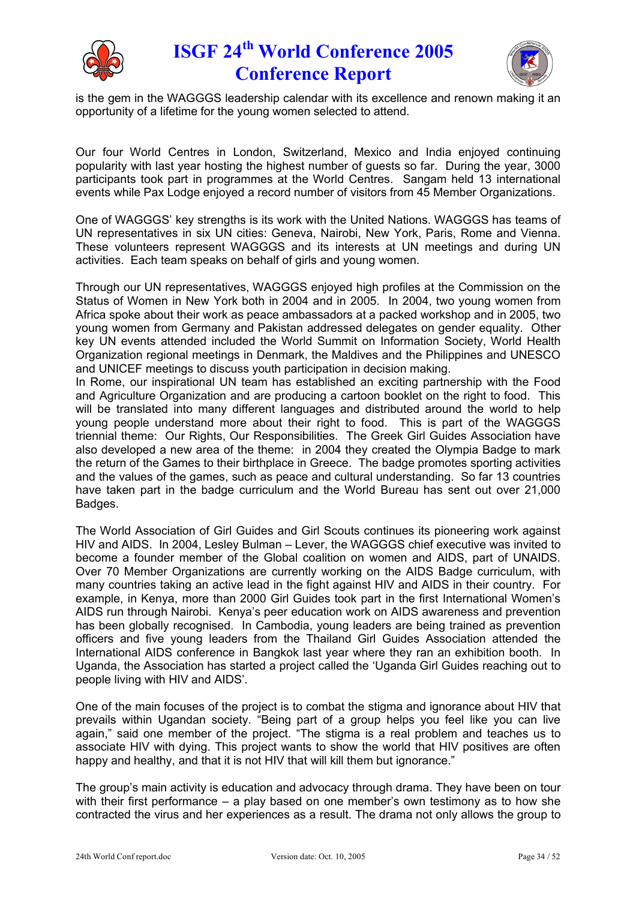



is the gem in the WAGGGS leadership calendar with its excellence and renown making it an opportunity of a lifetime for the young women selected to attend.

Our four World Centres in London, Switzerland, Mexico and India enjoyed continuing popularity with last year hosting the highest number of guests so far. During the year, 3000 participants took part in programmes at the World Centres. Sangam held 13 international events while Pax Lodge enjoyed a record number of visitors from 45 Member Organizations.

One of WAGGGS' key strengths is its work with the United Nations. WAGGGS has teams of UN representatives in six UN cities: Geneva, Nairobi, New York, Paris, Rome and Vienna. These volunteers represent WAGGGS and its interests at UN meetings and during UN activities. Each team speaks on behalf of girls and young women.

Through our UN representatives, WAGGGS enjoyed high profiles at the Commission on the Status of Women in New York both in 2004 and in 2005. In 2004, two young women from Africa spoke about their work as peace ambassadors at a packed workshop and in 2005, two young women from Germany and Pakistan addressed delegates on gender equality. Other key UN events attended included the World Summit on Information Society, World Health Organization regional meetings in Denmark, the Maldives and the Philippines and UNESCO and UNICEF meetings to discuss youth participation in decision making.

In Rome, our inspirational UN team has established an exciting partnership with the Food and Agriculture Organization and are producing a cartoon booklet on the right to food. This will be translated into many different languages and distributed around the world to help young people understand more about their right to food. This is part of the WAGGGS triennial theme: Our Rights, Our Responsibilities. The Greek Girl Guides Association have also developed a new area of the theme: in 2004 they created the Olympia Badge to mark the return of the Games to their birthplace in Greece. The badge promotes sporting activities and the values of the games, such as peace and cultural understanding. So far 13 countries have taken part in the badge curriculum and the World Bureau has sent out over 21,000 Badges.

The World Association of Girl Guides and Girl Scouts continues its pioneering work against HIV and AIDS. In 2004, Lesley Bulman – Lever, the WAGGGS chief executive was invited to become a founder member of the Global coalition on women and AIDS, part of UNAIDS. Over 70 Member Organizations are currently working on the AIDS Badge curriculum, with many countries taking an active lead in the fight against HIV and AIDS in their country. For example, in Kenya, more than 2000 Girl Guides took part in the first International Women's AIDS run through Nairobi. Kenya's peer education work on AIDS awareness and prevention has been globally recognised. In Cambodia, young leaders are being trained as prevention officers and five young leaders from the Thailand Girl Guides Association attended the International AIDS conference in Bangkok last year where they ran an exhibition booth. In Uganda, the Association has started a project called the 'Uganda Girl Guides reaching out to people living with HIV and AIDS'.

One of the main focuses of the project is to combat the stigma and ignorance about HIV that prevails within Ugandan society. "Being part of a group helps you feel like you can live again," said one member of the project. "The stigma is a real problem and teaches us to associate HIV with dying. This project wants to show the world that HIV positives are often happy and healthy, and that it is not HIV that will kill them but ignorance."

The group's main activity is education and advocacy through drama. They have been on tour with their first performance – a play based on one member's own testimony as to how she contracted the virus and her experiences as a result. The drama not only allows the group to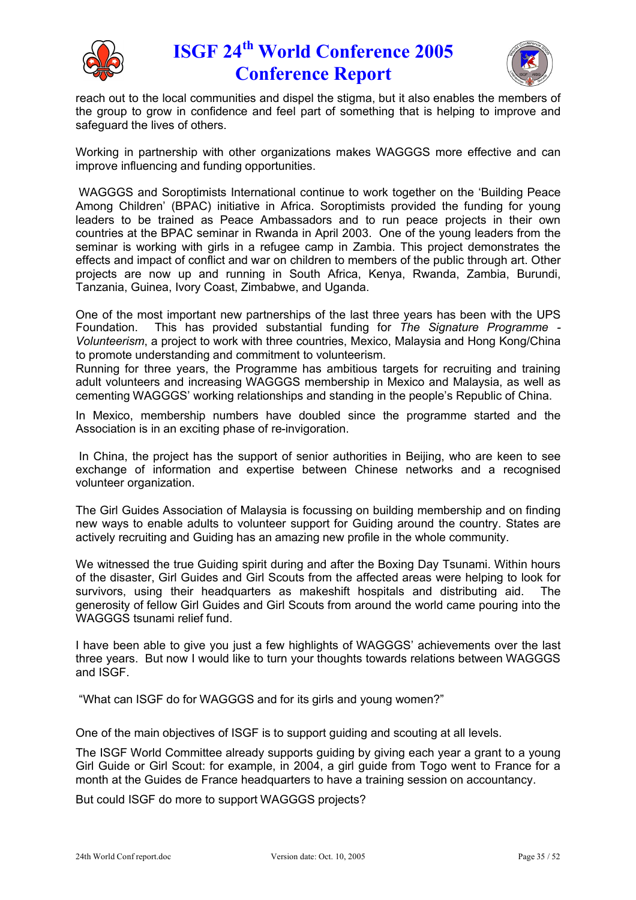



reach out to the local communities and dispel the stigma, but it also enables the members of the group to grow in confidence and feel part of something that is helping to improve and safeguard the lives of others.

Working in partnership with other organizations makes WAGGGS more effective and can improve influencing and funding opportunities.

WAGGGS and Soroptimists International continue to work together on the 'Building Peace Among Children' (BPAC) initiative in Africa. Soroptimists provided the funding for young leaders to be trained as Peace Ambassadors and to run peace projects in their own countries at the BPAC seminar in Rwanda in April 2003. One of the young leaders from the seminar is working with girls in a refugee camp in Zambia. This project demonstrates the effects and impact of conflict and war on children to members of the public through art. Other projects are now up and running in South Africa, Kenya, Rwanda, Zambia, Burundi, Tanzania, Guinea, Ivory Coast, Zimbabwe, and Uganda.

One of the most important new partnerships of the last three years has been with the UPS Foundation. This has provided substantial funding for *The Signature Programme - Volunteerism*, a project to work with three countries, Mexico, Malaysia and Hong Kong/China to promote understanding and commitment to volunteerism.

Running for three years, the Programme has ambitious targets for recruiting and training adult volunteers and increasing WAGGGS membership in Mexico and Malaysia, as well as cementing WAGGGS' working relationships and standing in the people's Republic of China.

In Mexico, membership numbers have doubled since the programme started and the Association is in an exciting phase of re-invigoration.

In China, the project has the support of senior authorities in Beijing, who are keen to see exchange of information and expertise between Chinese networks and a recognised volunteer organization.

The Girl Guides Association of Malaysia is focussing on building membership and on finding new ways to enable adults to volunteer support for Guiding around the country. States are actively recruiting and Guiding has an amazing new profile in the whole community.

We witnessed the true Guiding spirit during and after the Boxing Day Tsunami. Within hours of the disaster, Girl Guides and Girl Scouts from the affected areas were helping to look for survivors, using their headquarters as makeshift hospitals and distributing aid. The generosity of fellow Girl Guides and Girl Scouts from around the world came pouring into the WAGGGS tsunami relief fund.

I have been able to give you just a few highlights of WAGGGS' achievements over the last three years. But now I would like to turn your thoughts towards relations between WAGGGS and ISGF.

"What can ISGF do for WAGGGS and for its girls and young women?"

One of the main objectives of ISGF is to support guiding and scouting at all levels.

The ISGF World Committee already supports guiding by giving each year a grant to a young Girl Guide or Girl Scout: for example, in 2004, a girl guide from Togo went to France for a month at the Guides de France headquarters to have a training session on accountancy.

But could ISGF do more to support WAGGGS projects?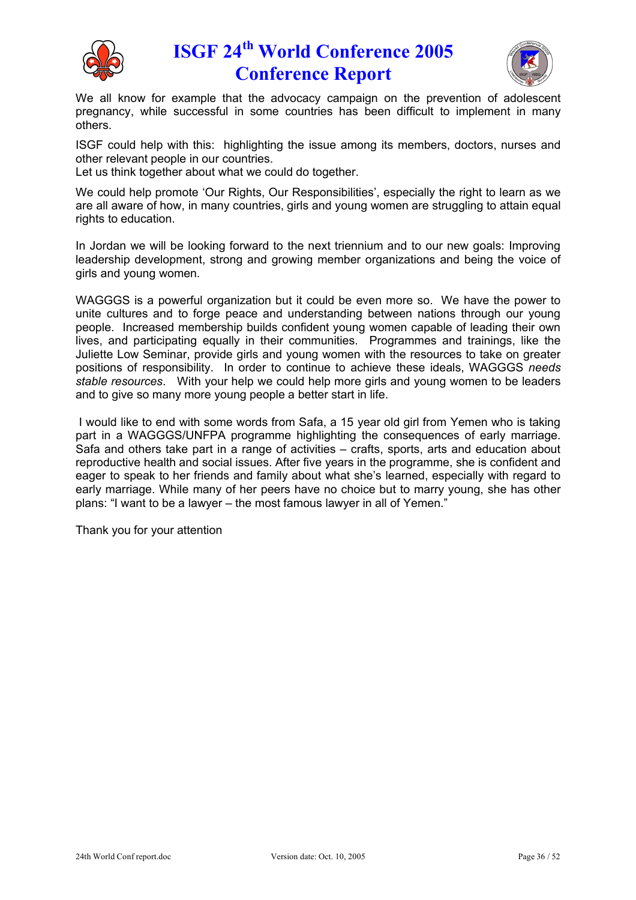



We all know for example that the advocacy campaign on the prevention of adolescent pregnancy, while successful in some countries has been difficult to implement in many others.

ISGF could help with this: highlighting the issue among its members, doctors, nurses and other relevant people in our countries.

Let us think together about what we could do together.

We could help promote 'Our Rights, Our Responsibilities', especially the right to learn as we are all aware of how, in many countries, girls and young women are struggling to attain equal rights to education.

In Jordan we will be looking forward to the next triennium and to our new goals: Improving leadership development, strong and growing member organizations and being the voice of girls and young women.

WAGGGS is a powerful organization but it could be even more so. We have the power to unite cultures and to forge peace and understanding between nations through our young people. Increased membership builds confident young women capable of leading their own lives, and participating equally in their communities. Programmes and trainings, like the Juliette Low Seminar, provide girls and young women with the resources to take on greater positions of responsibility. In order to continue to achieve these ideals, WAGGGS *needs stable resources*. With your help we could help more girls and young women to be leaders and to give so many more young people a better start in life.

I would like to end with some words from Safa, a 15 year old girl from Yemen who is taking part in a WAGGGS/UNFPA programme highlighting the consequences of early marriage. Safa and others take part in a range of activities – crafts, sports, arts and education about reproductive health and social issues. After five years in the programme, she is confident and eager to speak to her friends and family about what she's learned, especially with regard to early marriage. While many of her peers have no choice but to marry young, she has other plans: "I want to be a lawyer – the most famous lawyer in all of Yemen."

Thank you for your attention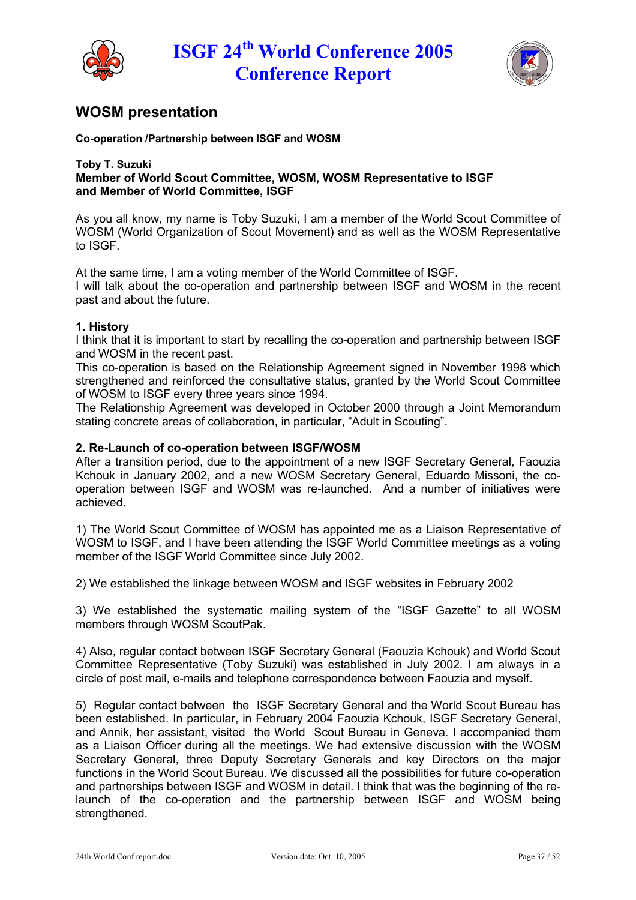



## **WOSM presentation**

#### **Co-operation /Partnership between ISGF and WOSM**

#### **Toby T. Suzuki Member of World Scout Committee, WOSM, WOSM Representative to ISGF and Member of World Committee, ISGF**

As you all know, my name is Toby Suzuki, I am a member of the World Scout Committee of WOSM (World Organization of Scout Movement) and as well as the WOSM Representative to ISGF.

At the same time, I am a voting member of the World Committee of ISGF.

I will talk about the co-operation and partnership between ISGF and WOSM in the recent past and about the future.

#### **1. History**

I think that it is important to start by recalling the co-operation and partnership between ISGF and WOSM in the recent past.

This co-operation is based on the Relationship Agreement signed in November 1998 which strengthened and reinforced the consultative status, granted by the World Scout Committee of WOSM to ISGF every three years since 1994.

The Relationship Agreement was developed in October 2000 through a Joint Memorandum stating concrete areas of collaboration, in particular, "Adult in Scouting".

#### **2. Re-Launch of co-operation between ISGF/WOSM**

After a transition period, due to the appointment of a new ISGF Secretary General, Faouzia Kchouk in January 2002, and a new WOSM Secretary General, Eduardo Missoni, the cooperation between ISGF and WOSM was re-launched. And a number of initiatives were achieved.

1) The World Scout Committee of WOSM has appointed me as a Liaison Representative of WOSM to ISGF, and I have been attending the ISGF World Committee meetings as a voting member of the ISGF World Committee since July 2002.

2) We established the linkage between WOSM and ISGF websites in February 2002

3) We established the systematic mailing system of the "ISGF Gazette" to all WOSM members through WOSM ScoutPak.

4) Also, regular contact between ISGF Secretary General (Faouzia Kchouk) and World Scout Committee Representative (Toby Suzuki) was established in July 2002. I am always in a circle of post mail, e-mails and telephone correspondence between Faouzia and myself.

5) Regular contact between the ISGF Secretary General and the World Scout Bureau has been established. In particular, in February 2004 Faouzia Kchouk, ISGF Secretary General, and Annik, her assistant, visited the World Scout Bureau in Geneva. I accompanied them as a Liaison Officer during all the meetings. We had extensive discussion with the WOSM Secretary General, three Deputy Secretary Generals and key Directors on the major functions in the World Scout Bureau. We discussed all the possibilities for future co-operation and partnerships between ISGF and WOSM in detail. I think that was the beginning of the relaunch of the co-operation and the partnership between ISGF and WOSM being strengthened.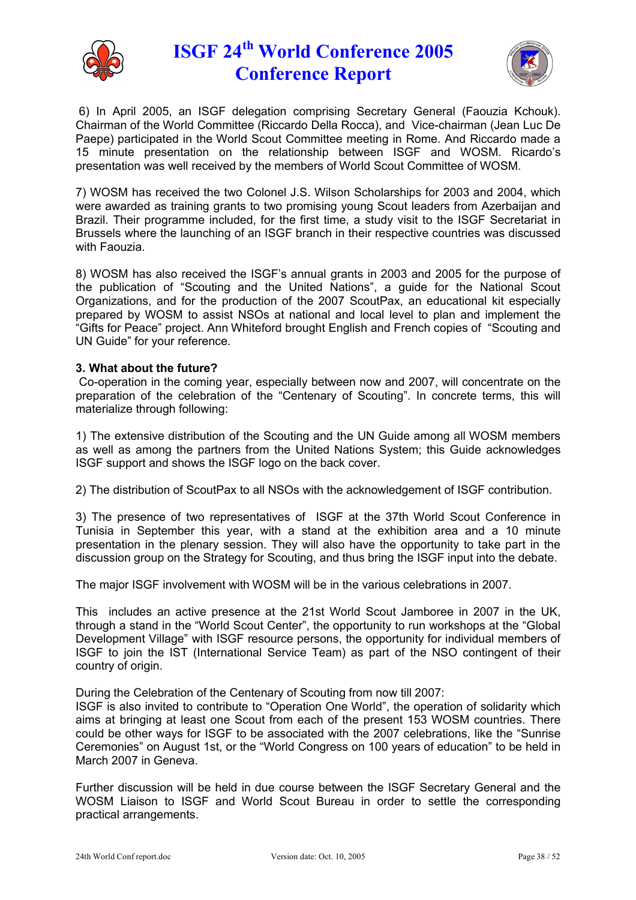



6) In April 2005, an ISGF delegation comprising Secretary General (Faouzia Kchouk). Chairman of the World Committee (Riccardo Della Rocca), and Vice-chairman (Jean Luc De Paepe) participated in the World Scout Committee meeting in Rome. And Riccardo made a 15 minute presentation on the relationship between ISGF and WOSM. Ricardo's presentation was well received by the members of World Scout Committee of WOSM.

7) WOSM has received the two Colonel J.S. Wilson Scholarships for 2003 and 2004, which were awarded as training grants to two promising young Scout leaders from Azerbaijan and Brazil. Their programme included, for the first time, a study visit to the ISGF Secretariat in Brussels where the launching of an ISGF branch in their respective countries was discussed with Faouzia.

8) WOSM has also received the ISGF's annual grants in 2003 and 2005 for the purpose of the publication of "Scouting and the United Nations", a guide for the National Scout Organizations, and for the production of the 2007 ScoutPax, an educational kit especially prepared by WOSM to assist NSOs at national and local level to plan and implement the "Gifts for Peace" project. Ann Whiteford brought English and French copies of "Scouting and UN Guide" for your reference.

### **3. What about the future?**

Co-operation in the coming year, especially between now and 2007, will concentrate on the preparation of the celebration of the "Centenary of Scouting". In concrete terms, this will materialize through following:

1) The extensive distribution of the Scouting and the UN Guide among all WOSM members as well as among the partners from the United Nations System; this Guide acknowledges ISGF support and shows the ISGF logo on the back cover.

2) The distribution of ScoutPax to all NSOs with the acknowledgement of ISGF contribution.

3) The presence of two representatives of ISGF at the 37th World Scout Conference in Tunisia in September this year, with a stand at the exhibition area and a 10 minute presentation in the plenary session. They will also have the opportunity to take part in the discussion group on the Strategy for Scouting, and thus bring the ISGF input into the debate.

The major ISGF involvement with WOSM will be in the various celebrations in 2007.

This includes an active presence at the 21st World Scout Jamboree in 2007 in the UK, through a stand in the "World Scout Center", the opportunity to run workshops at the "Global Development Village" with ISGF resource persons, the opportunity for individual members of ISGF to join the IST (International Service Team) as part of the NSO contingent of their country of origin.

During the Celebration of the Centenary of Scouting from now till 2007:

ISGF is also invited to contribute to "Operation One World", the operation of solidarity which aims at bringing at least one Scout from each of the present 153 WOSM countries. There could be other ways for ISGF to be associated with the 2007 celebrations, like the "Sunrise Ceremonies" on August 1st, or the "World Congress on 100 years of education" to be held in March 2007 in Geneva.

Further discussion will be held in due course between the ISGF Secretary General and the WOSM Liaison to ISGF and World Scout Bureau in order to settle the corresponding practical arrangements.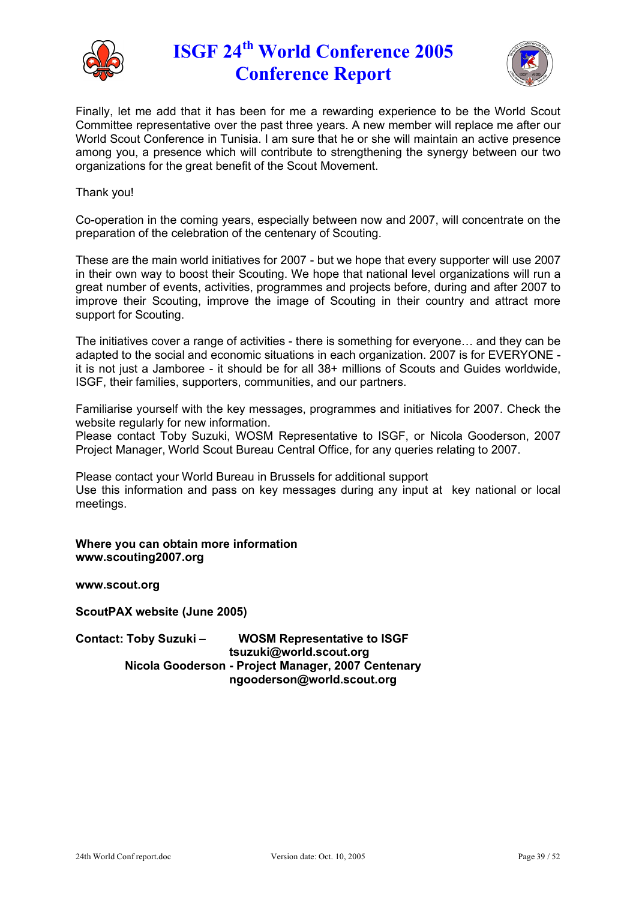



Finally, let me add that it has been for me a rewarding experience to be the World Scout Committee representative over the past three years. A new member will replace me after our World Scout Conference in Tunisia. I am sure that he or she will maintain an active presence among you, a presence which will contribute to strengthening the synergy between our two organizations for the great benefit of the Scout Movement.

#### Thank you!

Co-operation in the coming years, especially between now and 2007, will concentrate on the preparation of the celebration of the centenary of Scouting.

These are the main world initiatives for 2007 - but we hope that every supporter will use 2007 in their own way to boost their Scouting. We hope that national level organizations will run a great number of events, activities, programmes and projects before, during and after 2007 to improve their Scouting, improve the image of Scouting in their country and attract more support for Scouting.

The initiatives cover a range of activities - there is something for everyone… and they can be adapted to the social and economic situations in each organization. 2007 is for EVERYONE it is not just a Jamboree - it should be for all 38+ millions of Scouts and Guides worldwide, ISGF, their families, supporters, communities, and our partners.

Familiarise yourself with the key messages, programmes and initiatives for 2007. Check the website regularly for new information.

Please contact Toby Suzuki, WOSM Representative to ISGF, or Nicola Gooderson, 2007 Project Manager, World Scout Bureau Central Office, for any queries relating to 2007.

Please contact your World Bureau in Brussels for additional support Use this information and pass on key messages during any input at key national or local meetings.

**Where you can obtain more information www.scouting2007.org**

**www.scout.org**

**ScoutPAX website (June 2005)**

**Contact: Toby Suzuki – WOSM Representative to ISGF tsuzuki@world.scout.org Nicola Gooderson - Project Manager, 2007 Centenary ngooderson@world.scout.org**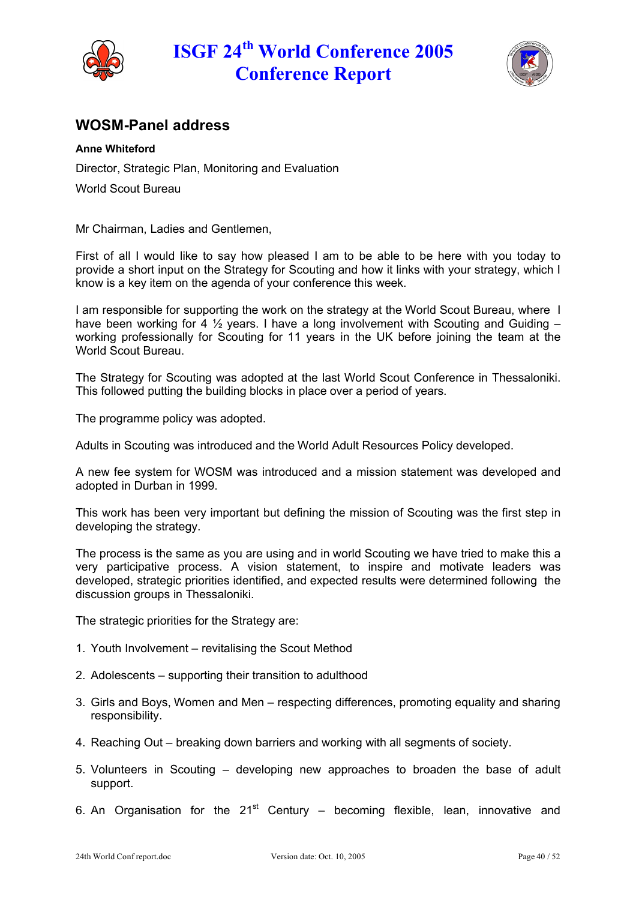



## **WOSM-Panel address**

### **Anne Whiteford**

Director, Strategic Plan, Monitoring and Evaluation

World Scout Bureau

Mr Chairman, Ladies and Gentlemen,

First of all I would like to say how pleased I am to be able to be here with you today to provide a short input on the Strategy for Scouting and how it links with your strategy, which I know is a key item on the agenda of your conference this week.

I am responsible for supporting the work on the strategy at the World Scout Bureau, where I have been working for 4  $\frac{1}{2}$  years. I have a long involvement with Scouting and Guiding – working professionally for Scouting for 11 years in the UK before joining the team at the World Scout Bureau.

The Strategy for Scouting was adopted at the last World Scout Conference in Thessaloniki. This followed putting the building blocks in place over a period of years.

The programme policy was adopted.

Adults in Scouting was introduced and the World Adult Resources Policy developed.

A new fee system for WOSM was introduced and a mission statement was developed and adopted in Durban in 1999.

This work has been very important but defining the mission of Scouting was the first step in developing the strategy.

The process is the same as you are using and in world Scouting we have tried to make this a very participative process. A vision statement, to inspire and motivate leaders was developed, strategic priorities identified, and expected results were determined following the discussion groups in Thessaloniki.

The strategic priorities for the Strategy are:

- 1. Youth Involvement revitalising the Scout Method
- 2. Adolescents supporting their transition to adulthood
- 3. Girls and Boys, Women and Men respecting differences, promoting equality and sharing responsibility.
- 4. Reaching Out breaking down barriers and working with all segments of society.
- 5. Volunteers in Scouting developing new approaches to broaden the base of adult support.
- 6. An Organisation for the  $21^{st}$  Century becoming flexible, lean, innovative and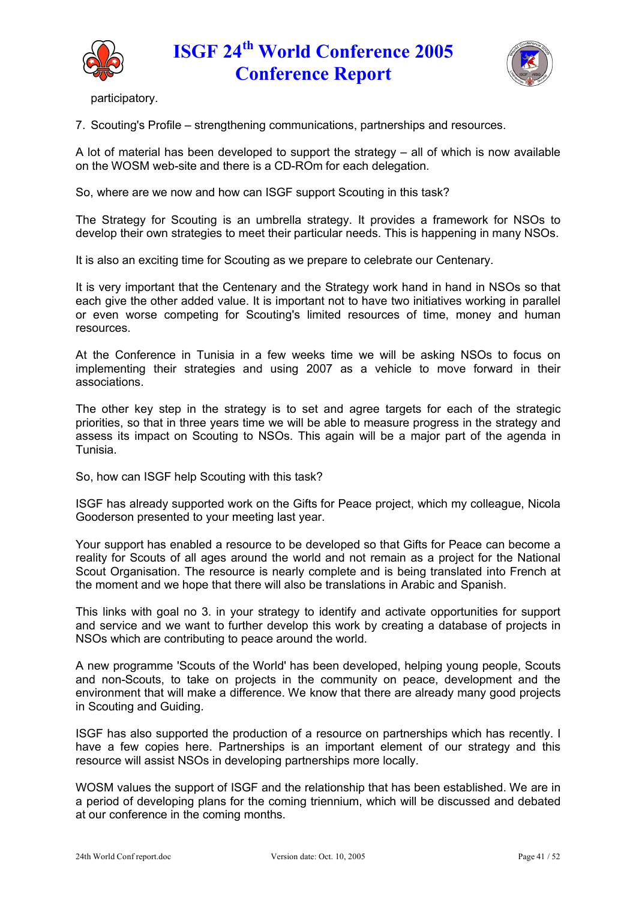



participatory.

7. Scouting's Profile – strengthening communications, partnerships and resources.

A lot of material has been developed to support the strategy – all of which is now available on the WOSM web-site and there is a CD-ROm for each delegation.

So, where are we now and how can ISGF support Scouting in this task?

The Strategy for Scouting is an umbrella strategy. It provides a framework for NSOs to develop their own strategies to meet their particular needs. This is happening in many NSOs.

It is also an exciting time for Scouting as we prepare to celebrate our Centenary.

It is very important that the Centenary and the Strategy work hand in hand in NSOs so that each give the other added value. It is important not to have two initiatives working in parallel or even worse competing for Scouting's limited resources of time, money and human resources.

At the Conference in Tunisia in a few weeks time we will be asking NSOs to focus on implementing their strategies and using 2007 as a vehicle to move forward in their associations.

The other key step in the strategy is to set and agree targets for each of the strategic priorities, so that in three years time we will be able to measure progress in the strategy and assess its impact on Scouting to NSOs. This again will be a major part of the agenda in Tunisia.

So, how can ISGF help Scouting with this task?

ISGF has already supported work on the Gifts for Peace project, which my colleague, Nicola Gooderson presented to your meeting last year.

Your support has enabled a resource to be developed so that Gifts for Peace can become a reality for Scouts of all ages around the world and not remain as a project for the National Scout Organisation. The resource is nearly complete and is being translated into French at the moment and we hope that there will also be translations in Arabic and Spanish.

This links with goal no 3. in your strategy to identify and activate opportunities for support and service and we want to further develop this work by creating a database of projects in NSOs which are contributing to peace around the world.

A new programme 'Scouts of the World' has been developed, helping young people, Scouts and non-Scouts, to take on projects in the community on peace, development and the environment that will make a difference. We know that there are already many good projects in Scouting and Guiding.

ISGF has also supported the production of a resource on partnerships which has recently. I have a few copies here. Partnerships is an important element of our strategy and this resource will assist NSOs in developing partnerships more locally.

WOSM values the support of ISGF and the relationship that has been established. We are in a period of developing plans for the coming triennium, which will be discussed and debated at our conference in the coming months.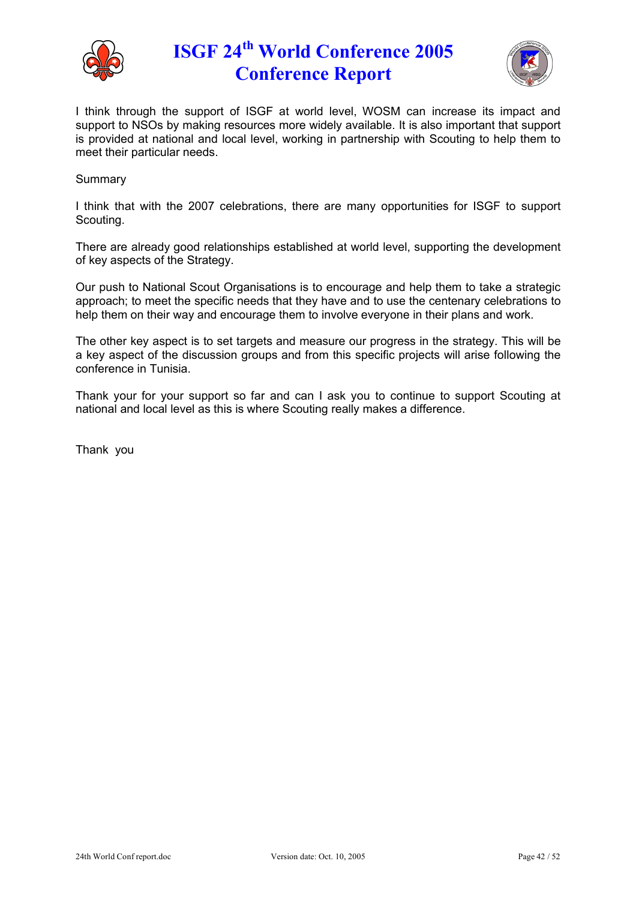



I think through the support of ISGF at world level, WOSM can increase its impact and support to NSOs by making resources more widely available. It is also important that support is provided at national and local level, working in partnership with Scouting to help them to meet their particular needs.

#### Summary

I think that with the 2007 celebrations, there are many opportunities for ISGF to support Scouting.

There are already good relationships established at world level, supporting the development of key aspects of the Strategy.

Our push to National Scout Organisations is to encourage and help them to take a strategic approach; to meet the specific needs that they have and to use the centenary celebrations to help them on their way and encourage them to involve everyone in their plans and work.

The other key aspect is to set targets and measure our progress in the strategy. This will be a key aspect of the discussion groups and from this specific projects will arise following the conference in Tunisia.

Thank your for your support so far and can I ask you to continue to support Scouting at national and local level as this is where Scouting really makes a difference.

Thank you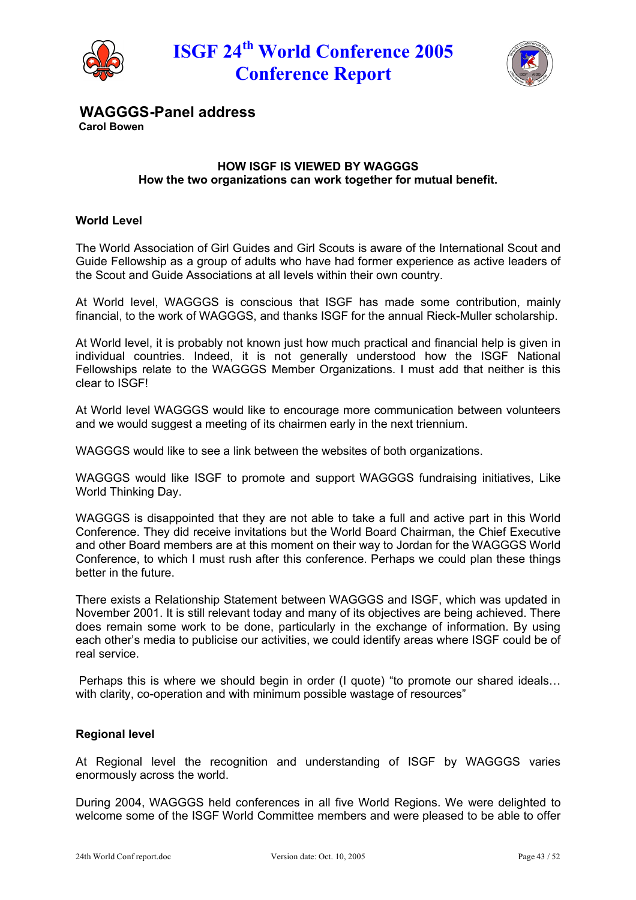



**WAGGGS-Panel address**

**Carol Bowen**

### **HOW ISGF IS VIEWED BY WAGGGS How the two organizations can work together for mutual benefit.**

### **World Level**

The World Association of Girl Guides and Girl Scouts is aware of the International Scout and Guide Fellowship as a group of adults who have had former experience as active leaders of the Scout and Guide Associations at all levels within their own country.

At World level, WAGGGS is conscious that ISGF has made some contribution, mainly financial, to the work of WAGGGS, and thanks ISGF for the annual Rieck-Muller scholarship.

At World level, it is probably not known just how much practical and financial help is given in individual countries. Indeed, it is not generally understood how the ISGF National Fellowships relate to the WAGGGS Member Organizations. I must add that neither is this clear to ISGF!

At World level WAGGGS would like to encourage more communication between volunteers and we would suggest a meeting of its chairmen early in the next triennium.

WAGGGS would like to see a link between the websites of both organizations.

WAGGGS would like ISGF to promote and support WAGGGS fundraising initiatives, Like World Thinking Day.

WAGGGS is disappointed that they are not able to take a full and active part in this World Conference. They did receive invitations but the World Board Chairman, the Chief Executive and other Board members are at this moment on their way to Jordan for the WAGGGS World Conference, to which I must rush after this conference. Perhaps we could plan these things better in the future.

There exists a Relationship Statement between WAGGGS and ISGF, which was updated in November 2001. It is still relevant today and many of its objectives are being achieved. There does remain some work to be done, particularly in the exchange of information. By using each other's media to publicise our activities, we could identify areas where ISGF could be of real service.

Perhaps this is where we should begin in order (I quote) "to promote our shared ideals… with clarity, co-operation and with minimum possible wastage of resources"

#### **Regional level**

At Regional level the recognition and understanding of ISGF by WAGGGS varies enormously across the world.

During 2004, WAGGGS held conferences in all five World Regions. We were delighted to welcome some of the ISGF World Committee members and were pleased to be able to offer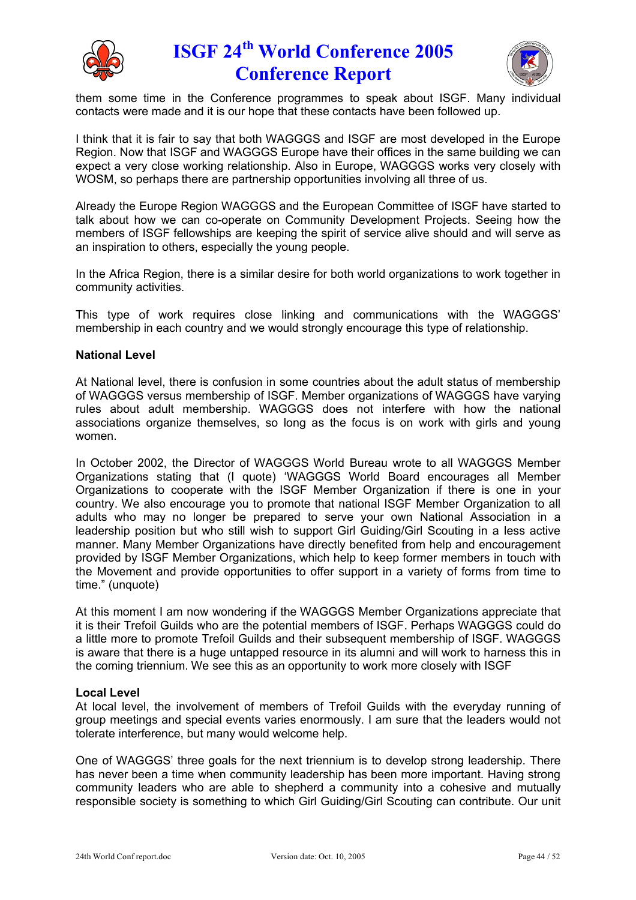



them some time in the Conference programmes to speak about ISGF. Many individual contacts were made and it is our hope that these contacts have been followed up.

I think that it is fair to say that both WAGGGS and ISGF are most developed in the Europe Region. Now that ISGF and WAGGGS Europe have their offices in the same building we can expect a very close working relationship. Also in Europe, WAGGGS works very closely with WOSM, so perhaps there are partnership opportunities involving all three of us.

Already the Europe Region WAGGGS and the European Committee of ISGF have started to talk about how we can co-operate on Community Development Projects. Seeing how the members of ISGF fellowships are keeping the spirit of service alive should and will serve as an inspiration to others, especially the young people.

In the Africa Region, there is a similar desire for both world organizations to work together in community activities.

This type of work requires close linking and communications with the WAGGGS' membership in each country and we would strongly encourage this type of relationship.

#### **National Level**

At National level, there is confusion in some countries about the adult status of membership of WAGGGS versus membership of ISGF. Member organizations of WAGGGS have varying rules about adult membership. WAGGGS does not interfere with how the national associations organize themselves, so long as the focus is on work with girls and young women.

In October 2002, the Director of WAGGGS World Bureau wrote to all WAGGGS Member Organizations stating that (I quote) 'WAGGGS World Board encourages all Member Organizations to cooperate with the ISGF Member Organization if there is one in your country. We also encourage you to promote that national ISGF Member Organization to all adults who may no longer be prepared to serve your own National Association in a leadership position but who still wish to support Girl Guiding/Girl Scouting in a less active manner. Many Member Organizations have directly benefited from help and encouragement provided by ISGF Member Organizations, which help to keep former members in touch with the Movement and provide opportunities to offer support in a variety of forms from time to time." (unquote)

At this moment I am now wondering if the WAGGGS Member Organizations appreciate that it is their Trefoil Guilds who are the potential members of ISGF. Perhaps WAGGGS could do a little more to promote Trefoil Guilds and their subsequent membership of ISGF. WAGGGS is aware that there is a huge untapped resource in its alumni and will work to harness this in the coming triennium. We see this as an opportunity to work more closely with ISGF

#### **Local Level**

At local level, the involvement of members of Trefoil Guilds with the everyday running of group meetings and special events varies enormously. I am sure that the leaders would not tolerate interference, but many would welcome help.

One of WAGGGS' three goals for the next triennium is to develop strong leadership. There has never been a time when community leadership has been more important. Having strong community leaders who are able to shepherd a community into a cohesive and mutually responsible society is something to which Girl Guiding/Girl Scouting can contribute. Our unit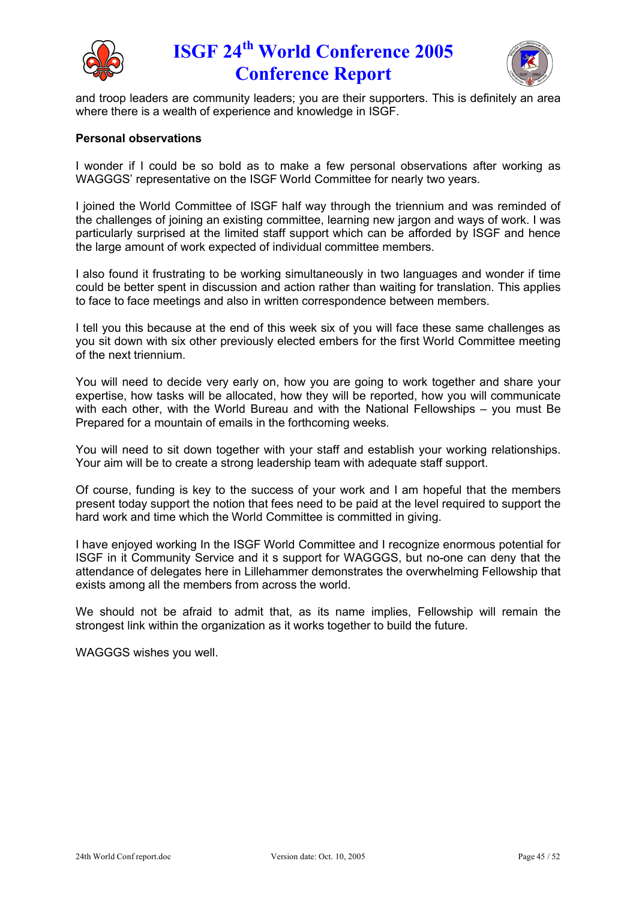



and troop leaders are community leaders; you are their supporters. This is definitely an area where there is a wealth of experience and knowledge in ISGF.

#### **Personal observations**

I wonder if I could be so bold as to make a few personal observations after working as WAGGGS' representative on the ISGF World Committee for nearly two years.

I joined the World Committee of ISGF half way through the triennium and was reminded of the challenges of joining an existing committee, learning new jargon and ways of work. I was particularly surprised at the limited staff support which can be afforded by ISGF and hence the large amount of work expected of individual committee members.

I also found it frustrating to be working simultaneously in two languages and wonder if time could be better spent in discussion and action rather than waiting for translation. This applies to face to face meetings and also in written correspondence between members.

I tell you this because at the end of this week six of you will face these same challenges as you sit down with six other previously elected embers for the first World Committee meeting of the next triennium.

You will need to decide very early on, how you are going to work together and share your expertise, how tasks will be allocated, how they will be reported, how you will communicate with each other, with the World Bureau and with the National Fellowships – you must Be Prepared for a mountain of emails in the forthcoming weeks.

You will need to sit down together with your staff and establish your working relationships. Your aim will be to create a strong leadership team with adequate staff support.

Of course, funding is key to the success of your work and I am hopeful that the members present today support the notion that fees need to be paid at the level required to support the hard work and time which the World Committee is committed in giving.

I have enjoyed working In the ISGF World Committee and I recognize enormous potential for ISGF in it Community Service and it s support for WAGGGS, but no-one can deny that the attendance of delegates here in Lillehammer demonstrates the overwhelming Fellowship that exists among all the members from across the world.

We should not be afraid to admit that, as its name implies, Fellowship will remain the strongest link within the organization as it works together to build the future.

WAGGGS wishes you well.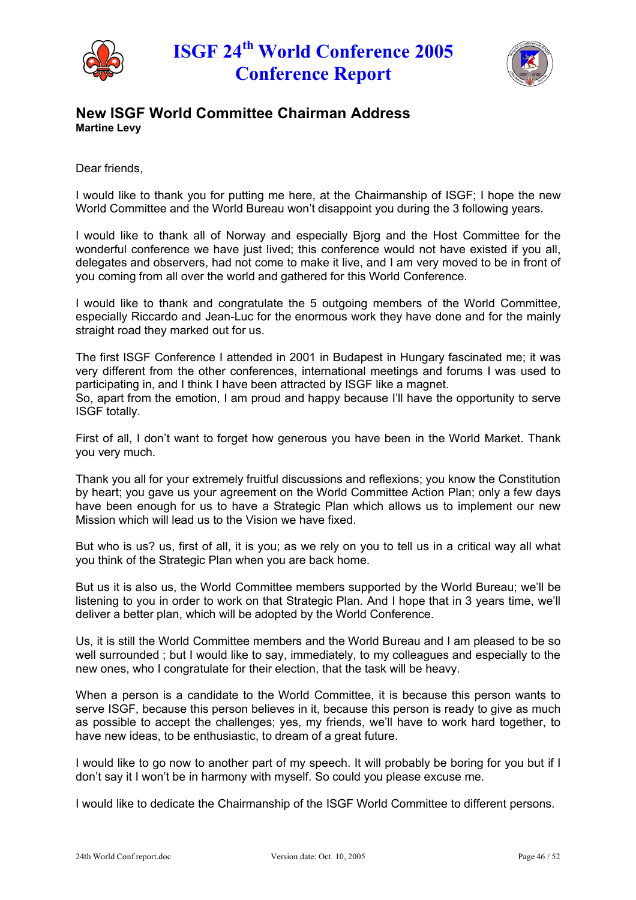



### **New ISGF World Committee Chairman Address Martine Levy**

Dear friends,

I would like to thank you for putting me here, at the Chairmanship of ISGF; I hope the new World Committee and the World Bureau won't disappoint you during the 3 following years.

I would like to thank all of Norway and especially Bjorg and the Host Committee for the wonderful conference we have just lived; this conference would not have existed if you all. delegates and observers, had not come to make it live, and I am very moved to be in front of you coming from all over the world and gathered for this World Conference.

I would like to thank and congratulate the 5 outgoing members of the World Committee, especially Riccardo and Jean-Luc for the enormous work they have done and for the mainly straight road they marked out for us.

The first ISGF Conference I attended in 2001 in Budapest in Hungary fascinated me; it was very different from the other conferences, international meetings and forums I was used to participating in, and I think I have been attracted by ISGF like a magnet. So, apart from the emotion, I am proud and happy because I'll have the opportunity to serve ISGF totally.

First of all, I don't want to forget how generous you have been in the World Market. Thank you very much.

Thank you all for your extremely fruitful discussions and reflexions; you know the Constitution by heart; you gave us your agreement on the World Committee Action Plan; only a few days have been enough for us to have a Strategic Plan which allows us to implement our new Mission which will lead us to the Vision we have fixed.

But who is us? us, first of all, it is you; as we rely on you to tell us in a critical way all what you think of the Strategic Plan when you are back home.

But us it is also us, the World Committee members supported by the World Bureau; we'll be listening to you in order to work on that Strategic Plan. And I hope that in 3 years time, we'll deliver a better plan, which will be adopted by the World Conference.

Us, it is still the World Committee members and the World Bureau and I am pleased to be so well surrounded ; but I would like to say, immediately, to my colleagues and especially to the new ones, who I congratulate for their election, that the task will be heavy.

When a person is a candidate to the World Committee, it is because this person wants to serve ISGF, because this person believes in it, because this person is ready to give as much as possible to accept the challenges; yes, my friends, we'll have to work hard together, to have new ideas, to be enthusiastic, to dream of a great future.

I would like to go now to another part of my speech. It will probably be boring for you but if I don't say it I won't be in harmony with myself. So could you please excuse me.

I would like to dedicate the Chairmanship of the ISGF World Committee to different persons.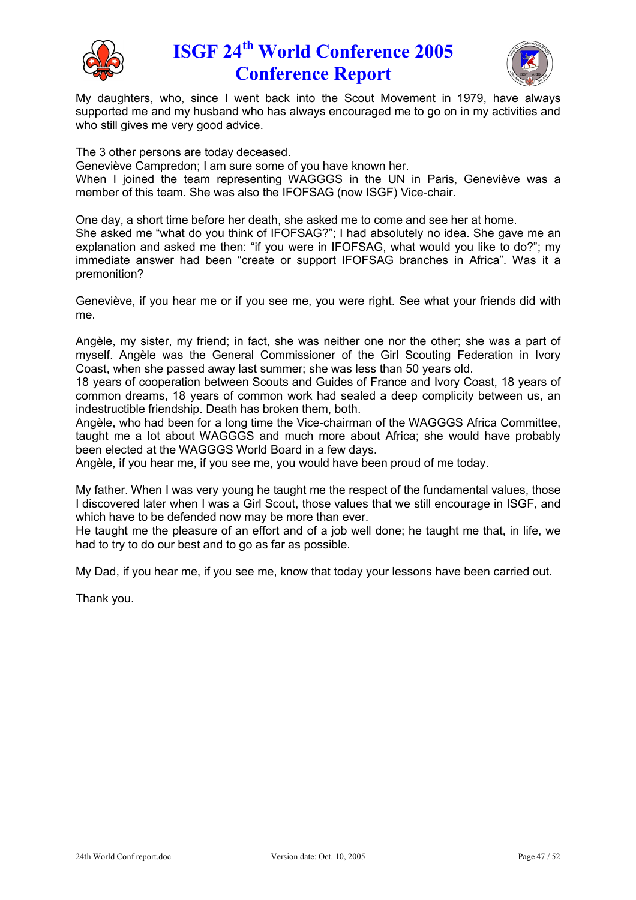



My daughters, who, since I went back into the Scout Movement in 1979, have always supported me and my husband who has always encouraged me to go on in my activities and who still gives me very good advice.

The 3 other persons are today deceased.

Geneviève Campredon; I am sure some of you have known her.

When I joined the team representing WAGGGS in the UN in Paris, Geneviève was a member of this team. She was also the IFOFSAG (now ISGF) Vice-chair.

One day, a short time before her death, she asked me to come and see her at home. She asked me "what do you think of IFOFSAG?"; I had absolutely no idea. She gave me an explanation and asked me then: "if you were in IFOFSAG, what would you like to do?"; my

immediate answer had been "create or support IFOFSAG branches in Africa". Was it a premonition?

Geneviève, if you hear me or if you see me, you were right. See what your friends did with me.

Angèle, my sister, my friend; in fact, she was neither one nor the other; she was a part of myself. Angèle was the General Commissioner of the Girl Scouting Federation in Ivory Coast, when she passed away last summer; she was less than 50 years old.

18 years of cooperation between Scouts and Guides of France and Ivory Coast, 18 years of common dreams, 18 years of common work had sealed a deep complicity between us, an indestructible friendship. Death has broken them, both.

AngÇle, who had been for a long time the Vice-chairman of the WAGGGS Africa Committee, taught me a lot about WAGGGS and much more about Africa; she would have probably been elected at the WAGGGS World Board in a few days.

Angèle, if you hear me, if you see me, you would have been proud of me today.

My father. When I was very young he taught me the respect of the fundamental values, those I discovered later when I was a Girl Scout, those values that we still encourage in ISGF, and which have to be defended now may be more than ever.

He taught me the pleasure of an effort and of a job well done; he taught me that, in life, we had to try to do our best and to go as far as possible.

My Dad, if you hear me, if you see me, know that today your lessons have been carried out.

Thank you.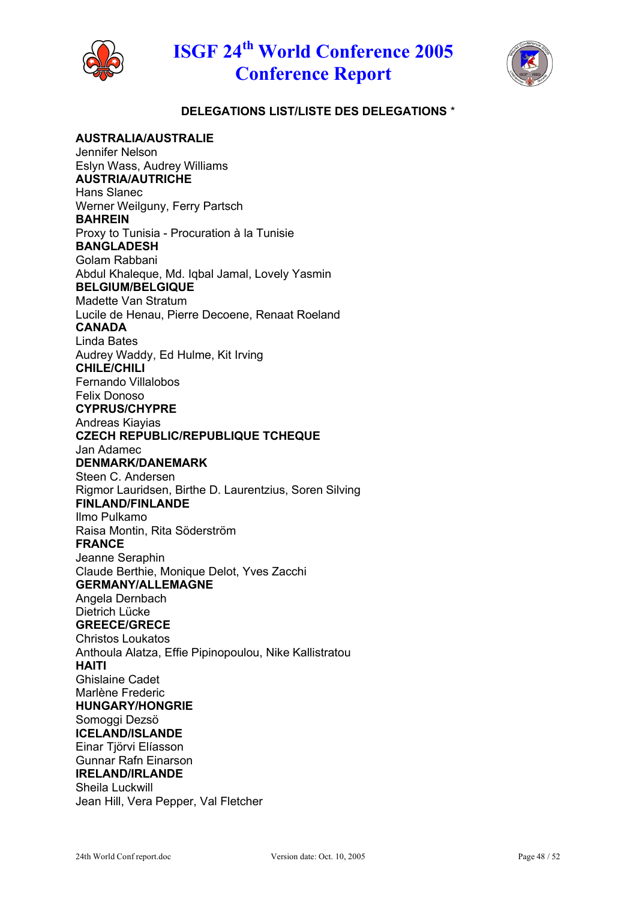



### **DELEGATIONS LIST/LISTE DES DELEGATIONS** \*

**AUSTRALIA/AUSTRALIE** Jennifer Nelson Eslyn Wass, Audrey Williams **AUSTRIA/AUTRICHE** Hans Slanec Werner Weilguny, Ferry Partsch **BAHREIN** Proxy to Tunisia - Procuration ë la Tunisie **BANGLADESH** Golam Rabbani Abdul Khaleque, Md. Iqbal Jamal, Lovely Yasmin **BELGIUM/BELGIQUE** Madette Van Stratum Lucile de Henau, Pierre Decoene, Renaat Roeland **CANADA** Linda Bates Audrey Waddy, Ed Hulme, Kit Irving **CHILE/CHILI** Fernando Villalobos Felix Donoso **CYPRUS/CHYPRE** Andreas Kiayias **CZECH REPUBLIC/REPUBLIQUE TCHEQUE** Jan Adamec **DENMARK/DANEMARK** Steen C. Andersen Rigmor Lauridsen, Birthe D. Laurentzius, Soren Silving **FINLAND/FINLANDE** Ilmo Pulkamo Raisa Montin, Rita Söderström **FRANCE** Jeanne Seraphin Claude Berthie, Monique Delot, Yves Zacchi **GERMANY/ALLEMAGNE** Angela Dernbach Dietrich Lücke **GREECE/GRECE** Christos Loukatos Anthoula Alatza, Effie Pipinopoulou, Nike Kallistratou **HAITI** Ghislaine Cadet Marlène Frederic **HUNGARY/HONGRIE** Somoggi Dezsö **ICELAND/ISLANDE** Einar Tiörvi Elíasson Gunnar Rafn Einarson **IRELAND/IRLANDE** Sheila Luckwill Jean Hill, Vera Pepper, Val Fletcher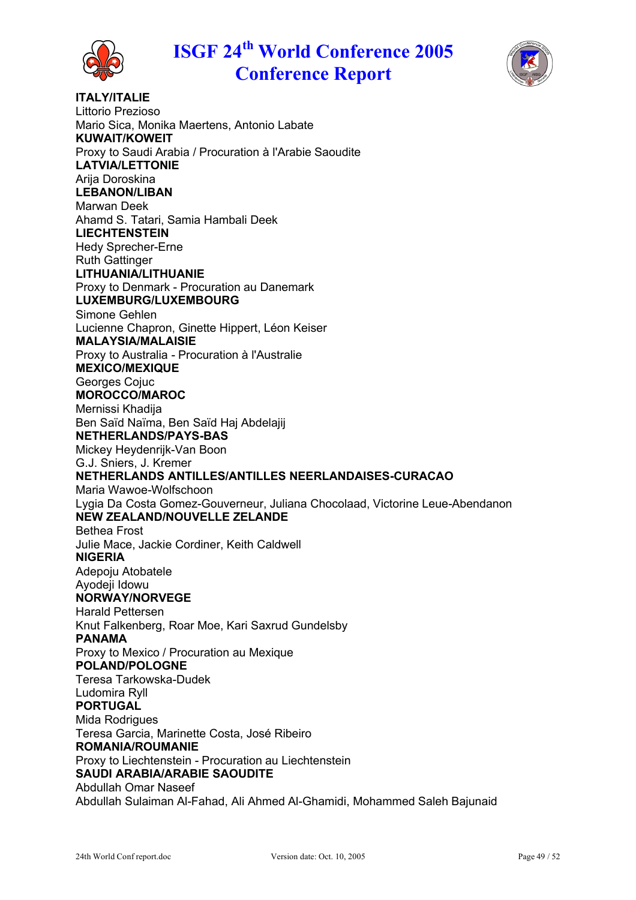



**ITALY/ITALIE** Littorio Prezioso Mario Sica, Monika Maertens, Antonio Labate **KUWAIT/KOWEIT** Proxy to Saudi Arabia / Procuration ë l'Arabie Saoudite **LATVIA/LETTONIE** Arija Doroskina **LEBANON/LIBAN** Marwan Deek Ahamd S. Tatari, Samia Hambali Deek **LIECHTENSTEIN** Hedy Sprecher-Erne Ruth Gattinger **LITHUANIA/LITHUANIE** Proxy to Denmark - Procuration au Danemark **LUXEMBURG/LUXEMBOURG** Simone Gehlen Lucienne Chapron, Ginette Hippert, Léon Keiser **MALAYSIA/MALAISIE** Proxy to Australia - Procuration ë l'Australie **MEXICO/MEXIQUE** Georges Cojuc **MOROCCO/MAROC** Mernissi Khadija Ben Saïd Naïma, Ben Saïd Hai Abdelaiii **NETHERLANDS/PAYS-BAS** Mickey Heydenrijk-Van Boon G.J. Sniers, J. Kremer **NETHERLANDS ANTILLES/ANTILLES NEERLANDAISES-CURACAO** Maria Wawoe-Wolfschoon Lygia Da Costa Gomez-Gouverneur, Juliana Chocolaad, Victorine Leue-Abendanon **NEW ZEALAND/NOUVELLE ZELANDE** Bethea Frost Julie Mace, Jackie Cordiner, Keith Caldwell **NIGERIA** Adepoju Atobatele Ayodeji Idowu **NORWAY/NORVEGE** Harald Pettersen Knut Falkenberg, Roar Moe, Kari Saxrud Gundelsby **PANAMA** Proxy to Mexico / Procuration au Mexique **POLAND/POLOGNE** Teresa Tarkowska-Dudek Ludomira Ryll **PORTUGAL** Mida Rodrigues Teresa Garcia, Marinette Costa, José Ribeiro **ROMANIA/ROUMANIE** Proxy to Liechtenstein - Procuration au Liechtenstein **SAUDI ARABIA/ARABIE SAOUDITE** Abdullah Omar Naseef Abdullah Sulaiman Al-Fahad, Ali Ahmed Al-Ghamidi, Mohammed Saleh Bajunaid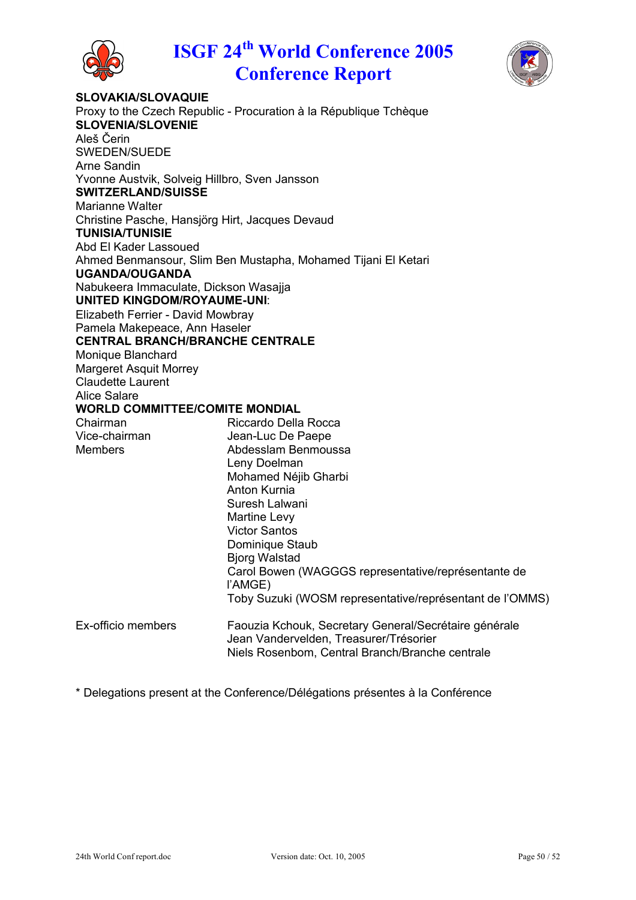



**SLOVAKIA/SLOVAQUIE** Proxy to the Czech Republic - Procuration à la République Tchèque **SLOVENIA/SLOVENIE** Aleš Čerin SWEDEN/SUEDE Arne Sandin Yvonne Austvik, Solveig Hillbro, Sven Jansson **SWITZERLAND/SUISSE** Marianne Walter Christine Pasche, Hansjörg Hirt, Jacques Devaud **TUNISIA/TUNISIE** Abd El Kader Lassoued Ahmed Benmansour, Slim Ben Mustapha, Mohamed Tijani El Ketari **UGANDA/OUGANDA** Nabukeera Immaculate, Dickson Wasajja **UNITED KINGDOM/ROYAUME-UNI**: Elizabeth Ferrier - David Mowbray Pamela Makepeace, Ann Haseler **CENTRAL BRANCH/BRANCHE CENTRALE** Monique Blanchard Margeret Asquit Morrey Claudette Laurent Alice Salare **WORLD COMMITTEE/COMITE MONDIAL** Chairman Riccardo Della Rocca Vice-chairman Jean-Luc De Paepe Members **Abdesslam Benmoussa** Leny Doelman Mohamed Néjib Gharbi Anton Kurnia Suresh Lalwani Martine Levy Victor Santos Dominique Staub Bjorg Walstad Carol Bowen (WAGGGS representative/représentante de l'AMGE) Toby Suzuki (WOSM representative/représentant de l'OMMS) Ex-officio members Faouzia Kchouk, Secretary General/Secrétaire générale Jean Vandervelden, Treasurer/Trésorier Niels Rosenbom, Central Branch/Branche centrale

\* Delegations present at the Conference/Délégations présentes à la Conférence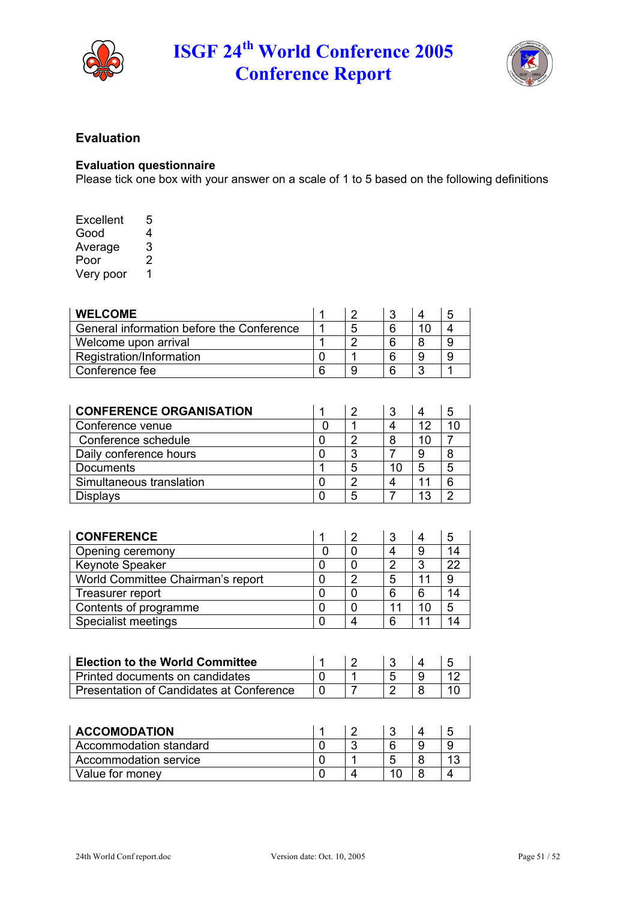



## **Evaluation**

#### **Evaluation questionnaire**

Please tick one box with your answer on a scale of 1 to 5 based on the following definitions

| Excellent | 5 |
|-----------|---|
| Good      | 4 |
| Average   | 3 |
| Poor      | 2 |
| Very poor | 1 |

| <b>WELCOME</b>                            |   |  | .5 |
|-------------------------------------------|---|--|----|
| General information before the Conference | 5 |  |    |
| Welcome upon arrival                      | ◠ |  |    |
| Registration/Information                  |   |  |    |
| Conference fee                            |   |  |    |

| <b>CONFERENCE ORGANISATION</b> |   |    |    | 5 |
|--------------------------------|---|----|----|---|
| Conference venue               |   |    | 12 |   |
| Conference schedule            | ◠ |    | 10 |   |
| Daily conference hours         | ິ |    |    |   |
| <b>Documents</b>               | 5 | 10 |    | 5 |
| Simultaneous translation       | ◠ |    |    |   |
| <b>Displays</b>                | 5 |    | 13 | റ |

| <b>CONFERENCE</b>                 |   |   |    | 5   |
|-----------------------------------|---|---|----|-----|
| Opening ceremony                  |   |   | 9  | 14  |
| Keynote Speaker                   |   | ◠ | ≏  | 22  |
| World Committee Chairman's report | r | 5 |    |     |
| Treasurer report                  |   | 6 | 6  | 14. |
| Contents of programme             |   |   | 10 | 5   |
| Specialist meetings               |   | 6 |    |     |

| Election to the World Committee          |  |  |  |
|------------------------------------------|--|--|--|
| l Printed documents on candidates        |  |  |  |
| Presentation of Candidates at Conference |  |  |  |

| <b>ACCOMODATION</b>    |  |    | ∽ |
|------------------------|--|----|---|
| Accommodation standard |  |    |   |
| Accommodation service  |  | :C |   |
| Value for money        |  | 10 |   |